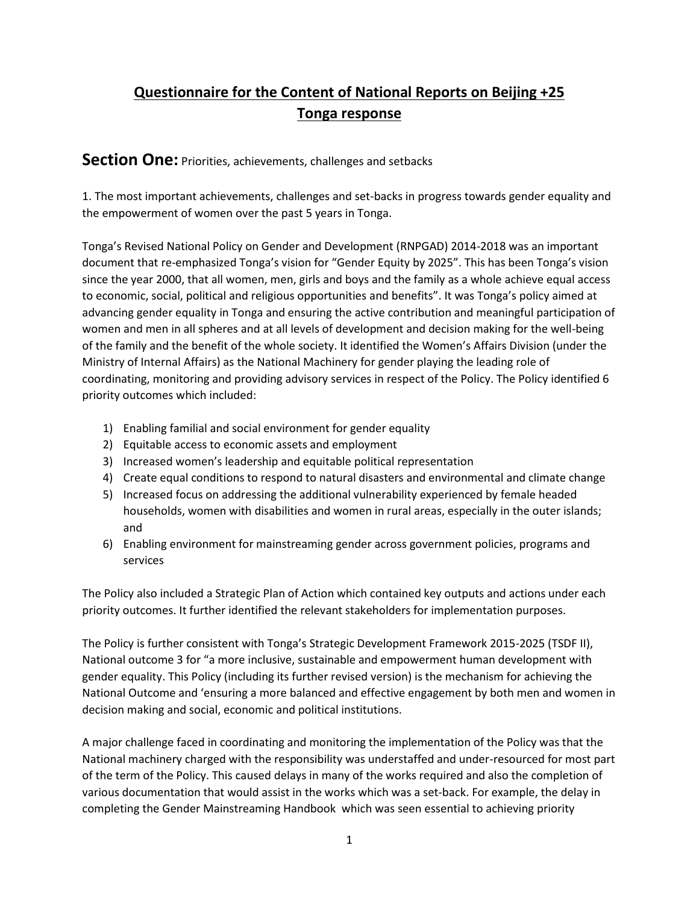# **Questionnaire for the Content of National Reports on Beijing +25 Tonga response**

**Section One:** Priorities, achievements, challenges and setbacks

1. The most important achievements, challenges and set-backs in progress towards gender equality and the empowerment of women over the past 5 years in Tonga.

Tonga's Revised National Policy on Gender and Development (RNPGAD) 2014-2018 was an important document that re-emphasized Tonga's vision for "Gender Equity by 2025". This has been Tonga's vision since the year 2000, that all women, men, girls and boys and the family as a whole achieve equal access to economic, social, political and religious opportunities and benefits". It was Tonga's policy aimed at advancing gender equality in Tonga and ensuring the active contribution and meaningful participation of women and men in all spheres and at all levels of development and decision making for the well-being of the family and the benefit of the whole society. It identified the Women's Affairs Division (under the Ministry of Internal Affairs) as the National Machinery for gender playing the leading role of coordinating, monitoring and providing advisory services in respect of the Policy. The Policy identified 6 priority outcomes which included:

- 1) Enabling familial and social environment for gender equality
- 2) Equitable access to economic assets and employment
- 3) Increased women's leadership and equitable political representation
- 4) Create equal conditions to respond to natural disasters and environmental and climate change
- 5) Increased focus on addressing the additional vulnerability experienced by female headed households, women with disabilities and women in rural areas, especially in the outer islands; and
- 6) Enabling environment for mainstreaming gender across government policies, programs and services

The Policy also included a Strategic Plan of Action which contained key outputs and actions under each priority outcomes. It further identified the relevant stakeholders for implementation purposes.

The Policy is further consistent with Tonga's Strategic Development Framework 2015-2025 (TSDF II), National outcome 3 for "a more inclusive, sustainable and empowerment human development with gender equality. This Policy (including its further revised version) is the mechanism for achieving the National Outcome and 'ensuring a more balanced and effective engagement by both men and women in decision making and social, economic and political institutions.

A major challenge faced in coordinating and monitoring the implementation of the Policy was that the National machinery charged with the responsibility was understaffed and under-resourced for most part of the term of the Policy. This caused delays in many of the works required and also the completion of various documentation that would assist in the works which was a set-back. For example, the delay in completing the Gender Mainstreaming Handbook which was seen essential to achieving priority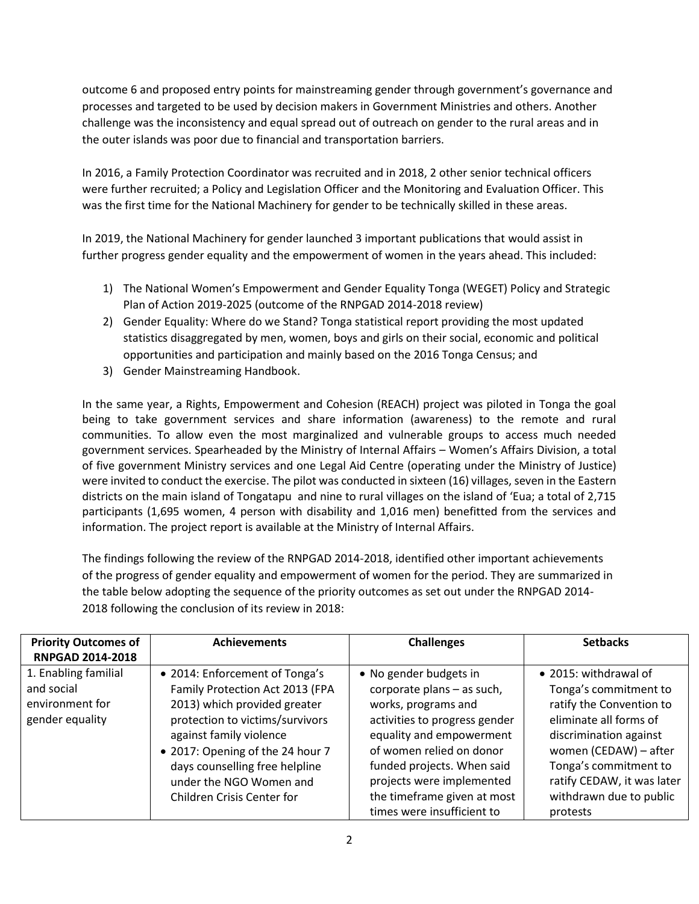outcome 6 and proposed entry points for mainstreaming gender through government's governance and processes and targeted to be used by decision makers in Government Ministries and others. Another challenge was the inconsistency and equal spread out of outreach on gender to the rural areas and in the outer islands was poor due to financial and transportation barriers.

In 2016, a Family Protection Coordinator was recruited and in 2018, 2 other senior technical officers were further recruited; a Policy and Legislation Officer and the Monitoring and Evaluation Officer. This was the first time for the National Machinery for gender to be technically skilled in these areas.

In 2019, the National Machinery for gender launched 3 important publications that would assist in further progress gender equality and the empowerment of women in the years ahead. This included:

- 1) The National Women's Empowerment and Gender Equality Tonga (WEGET) Policy and Strategic Plan of Action 2019-2025 (outcome of the RNPGAD 2014-2018 review)
- 2) Gender Equality: Where do we Stand? Tonga statistical report providing the most updated statistics disaggregated by men, women, boys and girls on their social, economic and political opportunities and participation and mainly based on the 2016 Tonga Census; and
- 3) Gender Mainstreaming Handbook.

In the same year, a Rights, Empowerment and Cohesion (REACH) project was piloted in Tonga the goal being to take government services and share information (awareness) to the remote and rural communities. To allow even the most marginalized and vulnerable groups to access much needed government services. Spearheaded by the Ministry of Internal Affairs – Women's Affairs Division, a total of five government Ministry services and one Legal Aid Centre (operating under the Ministry of Justice) were invited to conduct the exercise. The pilot was conducted in sixteen (16) villages, seven in the Eastern districts on the main island of Tongatapu and nine to rural villages on the island of 'Eua; a total of 2,715 participants (1,695 women, 4 person with disability and 1,016 men) benefitted from the services and information. The project report is available at the Ministry of Internal Affairs.

The findings following the review of the RNPGAD 2014-2018, identified other important achievements of the progress of gender equality and empowerment of women for the period. They are summarized in the table below adopting the sequence of the priority outcomes as set out under the RNPGAD 2014- 2018 following the conclusion of its review in 2018:

| <b>Priority Outcomes of</b><br><b>RNPGAD 2014-2018</b>                   | <b>Achievements</b>                                                                                                                                                                                                                                                                            | <b>Challenges</b>                                                                                                                                                                                                                                                                            | <b>Setbacks</b>                                                                                                                                                                                                                                       |
|--------------------------------------------------------------------------|------------------------------------------------------------------------------------------------------------------------------------------------------------------------------------------------------------------------------------------------------------------------------------------------|----------------------------------------------------------------------------------------------------------------------------------------------------------------------------------------------------------------------------------------------------------------------------------------------|-------------------------------------------------------------------------------------------------------------------------------------------------------------------------------------------------------------------------------------------------------|
| 1. Enabling familial<br>and social<br>environment for<br>gender equality | • 2014: Enforcement of Tonga's<br>Family Protection Act 2013 (FPA<br>2013) which provided greater<br>protection to victims/survivors<br>against family violence<br>• 2017: Opening of the 24 hour 7<br>days counselling free helpline<br>under the NGO Women and<br>Children Crisis Center for | • No gender budgets in<br>corporate plans - as such,<br>works, programs and<br>activities to progress gender<br>equality and empowerment<br>of women relied on donor<br>funded projects. When said<br>projects were implemented<br>the timeframe given at most<br>times were insufficient to | • 2015: withdrawal of<br>Tonga's commitment to<br>ratify the Convention to<br>eliminate all forms of<br>discrimination against<br>women (CEDAW) - after<br>Tonga's commitment to<br>ratify CEDAW, it was later<br>withdrawn due to public<br>protests |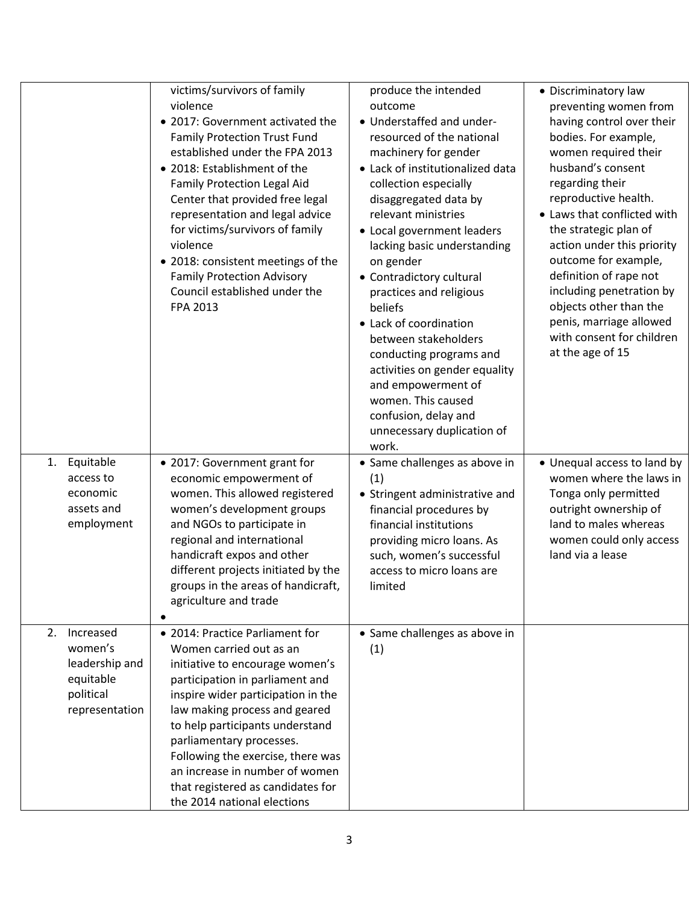|                                                                                          | victims/survivors of family<br>violence<br>• 2017: Government activated the<br><b>Family Protection Trust Fund</b><br>established under the FPA 2013<br>• 2018: Establishment of the<br>Family Protection Legal Aid<br>Center that provided free legal<br>representation and legal advice<br>for victims/survivors of family<br>violence<br>• 2018: consistent meetings of the<br><b>Family Protection Advisory</b><br>Council established under the<br>FPA 2013 | produce the intended<br>outcome<br>• Understaffed and under-<br>resourced of the national<br>machinery for gender<br>• Lack of institutionalized data<br>collection especially<br>disaggregated data by<br>relevant ministries<br>• Local government leaders<br>lacking basic understanding<br>on gender<br>• Contradictory cultural<br>practices and religious<br>beliefs<br>• Lack of coordination<br>between stakeholders<br>conducting programs and<br>activities on gender equality<br>and empowerment of<br>women. This caused<br>confusion, delay and | • Discriminatory law<br>preventing women from<br>having control over their<br>bodies. For example,<br>women required their<br>husband's consent<br>regarding their<br>reproductive health.<br>• Laws that conflicted with<br>the strategic plan of<br>action under this priority<br>outcome for example,<br>definition of rape not<br>including penetration by<br>objects other than the<br>penis, marriage allowed<br>with consent for children<br>at the age of 15 |
|------------------------------------------------------------------------------------------|------------------------------------------------------------------------------------------------------------------------------------------------------------------------------------------------------------------------------------------------------------------------------------------------------------------------------------------------------------------------------------------------------------------------------------------------------------------|--------------------------------------------------------------------------------------------------------------------------------------------------------------------------------------------------------------------------------------------------------------------------------------------------------------------------------------------------------------------------------------------------------------------------------------------------------------------------------------------------------------------------------------------------------------|----------------------------------------------------------------------------------------------------------------------------------------------------------------------------------------------------------------------------------------------------------------------------------------------------------------------------------------------------------------------------------------------------------------------------------------------------------------------|
| Equitable<br>1.<br>access to<br>economic<br>assets and<br>employment                     | • 2017: Government grant for<br>economic empowerment of<br>women. This allowed registered<br>women's development groups<br>and NGOs to participate in<br>regional and international<br>handicraft expos and other<br>different projects initiated by the<br>groups in the areas of handicraft,<br>agriculture and trade                                                                                                                                          | unnecessary duplication of<br>work.<br>• Same challenges as above in<br>(1)<br>• Stringent administrative and<br>financial procedures by<br>financial institutions<br>providing micro loans. As<br>such, women's successful<br>access to micro loans are<br>limited                                                                                                                                                                                                                                                                                          | • Unequal access to land by<br>women where the laws in<br>Tonga only permitted<br>outright ownership of<br>land to males whereas<br>women could only access<br>land via a lease                                                                                                                                                                                                                                                                                      |
| 2.<br>Increased<br>women's<br>leadership and<br>equitable<br>political<br>representation | • 2014: Practice Parliament for<br>Women carried out as an<br>initiative to encourage women's<br>participation in parliament and<br>inspire wider participation in the<br>law making process and geared<br>to help participants understand<br>parliamentary processes.<br>Following the exercise, there was<br>an increase in number of women<br>that registered as candidates for<br>the 2014 national elections                                                | • Same challenges as above in<br>(1)                                                                                                                                                                                                                                                                                                                                                                                                                                                                                                                         |                                                                                                                                                                                                                                                                                                                                                                                                                                                                      |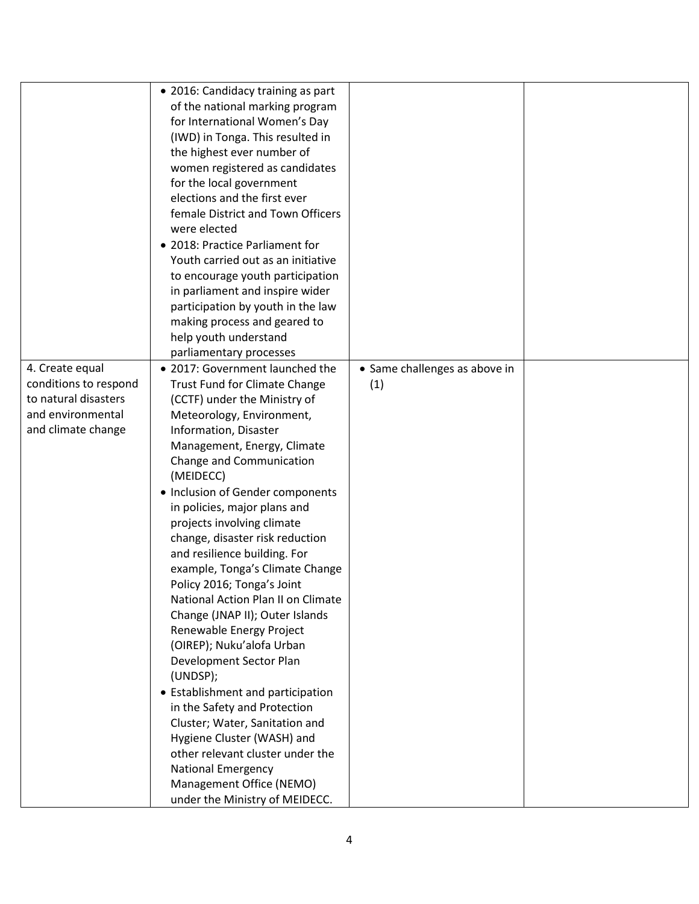|                       | • 2016: Candidacy training as part |                               |  |
|-----------------------|------------------------------------|-------------------------------|--|
|                       | of the national marking program    |                               |  |
|                       | for International Women's Day      |                               |  |
|                       | (IWD) in Tonga. This resulted in   |                               |  |
|                       | the highest ever number of         |                               |  |
|                       | women registered as candidates     |                               |  |
|                       | for the local government           |                               |  |
|                       | elections and the first ever       |                               |  |
|                       | female District and Town Officers  |                               |  |
|                       | were elected                       |                               |  |
|                       | • 2018: Practice Parliament for    |                               |  |
|                       | Youth carried out as an initiative |                               |  |
|                       | to encourage youth participation   |                               |  |
|                       | in parliament and inspire wider    |                               |  |
|                       | participation by youth in the law  |                               |  |
|                       | making process and geared to       |                               |  |
|                       | help youth understand              |                               |  |
|                       | parliamentary processes            |                               |  |
| 4. Create equal       | • 2017: Government launched the    | • Same challenges as above in |  |
| conditions to respond | Trust Fund for Climate Change      | (1)                           |  |
| to natural disasters  | (CCTF) under the Ministry of       |                               |  |
| and environmental     | Meteorology, Environment,          |                               |  |
| and climate change    | Information, Disaster              |                               |  |
|                       | Management, Energy, Climate        |                               |  |
|                       | Change and Communication           |                               |  |
|                       | (MEIDECC)                          |                               |  |
|                       | • Inclusion of Gender components   |                               |  |
|                       | in policies, major plans and       |                               |  |
|                       | projects involving climate         |                               |  |
|                       | change, disaster risk reduction    |                               |  |
|                       | and resilience building. For       |                               |  |
|                       | example, Tonga's Climate Change    |                               |  |
|                       | Policy 2016; Tonga's Joint         |                               |  |
|                       | National Action Plan II on Climate |                               |  |
|                       | Change (JNAP II); Outer Islands    |                               |  |
|                       | Renewable Energy Project           |                               |  |
|                       | (OIREP); Nuku'alofa Urban          |                               |  |
|                       | Development Sector Plan            |                               |  |
|                       | (UNDSP);                           |                               |  |
|                       | • Establishment and participation  |                               |  |
|                       | in the Safety and Protection       |                               |  |
|                       | Cluster; Water, Sanitation and     |                               |  |
|                       | Hygiene Cluster (WASH) and         |                               |  |
|                       | other relevant cluster under the   |                               |  |
|                       | <b>National Emergency</b>          |                               |  |
|                       | Management Office (NEMO)           |                               |  |
|                       | under the Ministry of MEIDECC.     |                               |  |
|                       |                                    |                               |  |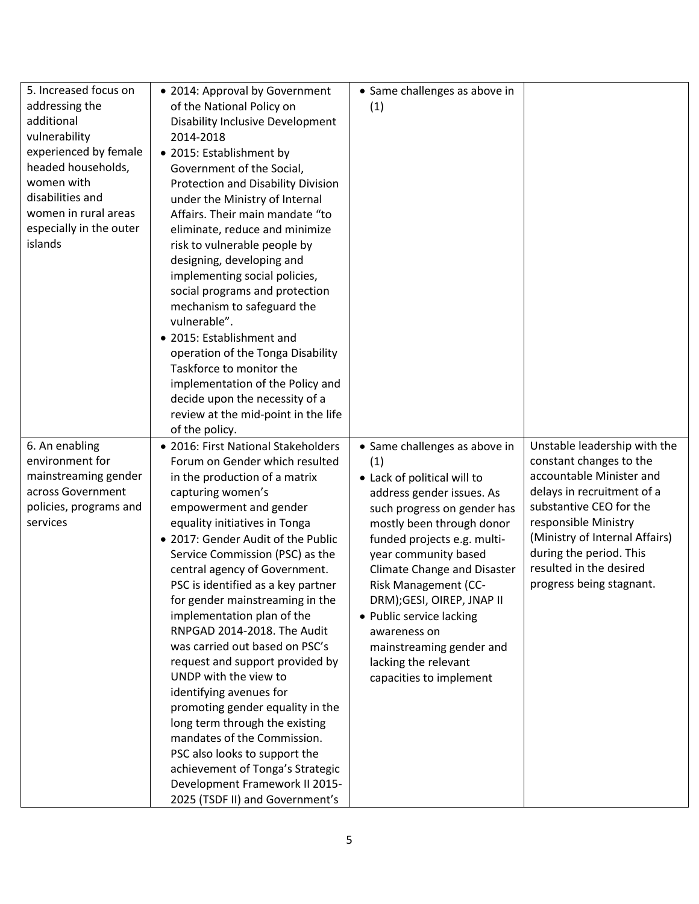| 5. Increased focus on   | • 2014: Approval by Government            | • Same challenges as above in      |                                |
|-------------------------|-------------------------------------------|------------------------------------|--------------------------------|
| addressing the          | of the National Policy on                 | (1)                                |                                |
| additional              | <b>Disability Inclusive Development</b>   |                                    |                                |
| vulnerability           | 2014-2018                                 |                                    |                                |
| experienced by female   | • 2015: Establishment by                  |                                    |                                |
| headed households,      | Government of the Social,                 |                                    |                                |
| women with              | <b>Protection and Disability Division</b> |                                    |                                |
| disabilities and        | under the Ministry of Internal            |                                    |                                |
| women in rural areas    | Affairs. Their main mandate "to           |                                    |                                |
| especially in the outer | eliminate, reduce and minimize            |                                    |                                |
| islands                 | risk to vulnerable people by              |                                    |                                |
|                         | designing, developing and                 |                                    |                                |
|                         | implementing social policies,             |                                    |                                |
|                         | social programs and protection            |                                    |                                |
|                         | mechanism to safeguard the                |                                    |                                |
|                         | vulnerable".                              |                                    |                                |
|                         | • 2015: Establishment and                 |                                    |                                |
|                         | operation of the Tonga Disability         |                                    |                                |
|                         | Taskforce to monitor the                  |                                    |                                |
|                         | implementation of the Policy and          |                                    |                                |
|                         | decide upon the necessity of a            |                                    |                                |
|                         | review at the mid-point in the life       |                                    |                                |
|                         | of the policy.                            |                                    |                                |
| 6. An enabling          | • 2016: First National Stakeholders       | • Same challenges as above in      | Unstable leadership with the   |
| environment for         | Forum on Gender which resulted            | (1)                                | constant changes to the        |
| mainstreaming gender    | in the production of a matrix             | • Lack of political will to        | accountable Minister and       |
| across Government       | capturing women's                         | address gender issues. As          | delays in recruitment of a     |
| policies, programs and  | empowerment and gender                    | such progress on gender has        | substantive CEO for the        |
| services                | equality initiatives in Tonga             | mostly been through donor          | responsible Ministry           |
|                         | • 2017: Gender Audit of the Public        | funded projects e.g. multi-        | (Ministry of Internal Affairs) |
|                         | Service Commission (PSC) as the           | year community based               | during the period. This        |
|                         | central agency of Government.             | <b>Climate Change and Disaster</b> | resulted in the desired        |
|                         | PSC is identified as a key partner        | Risk Management (CC-               | progress being stagnant.       |
|                         | for gender mainstreaming in the           | DRM); GESI, OIREP, JNAP II         |                                |
|                         | implementation plan of the                | • Public service lacking           |                                |
|                         | RNPGAD 2014-2018. The Audit               | awareness on                       |                                |
|                         | was carried out based on PSC's            | mainstreaming gender and           |                                |
|                         | request and support provided by           | lacking the relevant               |                                |
|                         | UNDP with the view to                     | capacities to implement            |                                |
|                         | identifying avenues for                   |                                    |                                |
|                         | promoting gender equality in the          |                                    |                                |
|                         | long term through the existing            |                                    |                                |
|                         | mandates of the Commission.               |                                    |                                |
|                         | PSC also looks to support the             |                                    |                                |
|                         | achievement of Tonga's Strategic          |                                    |                                |
|                         | Development Framework II 2015-            |                                    |                                |
|                         | 2025 (TSDF II) and Government's           |                                    |                                |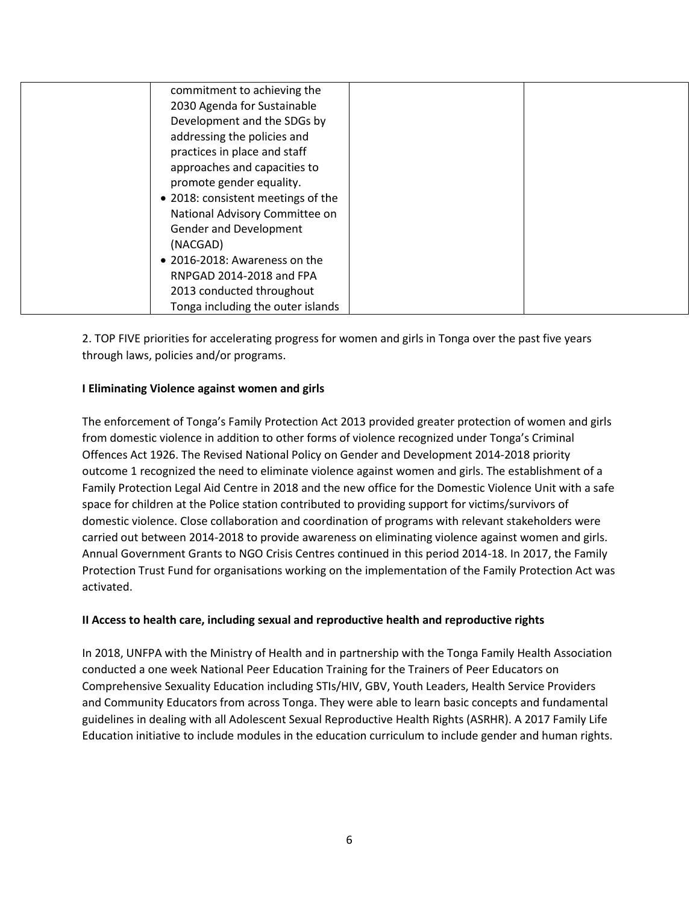| commitment to achieving the        |  |
|------------------------------------|--|
| 2030 Agenda for Sustainable        |  |
| Development and the SDGs by        |  |
| addressing the policies and        |  |
| practices in place and staff       |  |
| approaches and capacities to       |  |
| promote gender equality.           |  |
| • 2018: consistent meetings of the |  |
| National Advisory Committee on     |  |
| Gender and Development             |  |
| (NACGAD)                           |  |
| • 2016-2018: Awareness on the      |  |
| RNPGAD 2014-2018 and FPA           |  |
| 2013 conducted throughout          |  |
| Tonga including the outer islands  |  |

2. TOP FIVE priorities for accelerating progress for women and girls in Tonga over the past five years through laws, policies and/or programs.

### **I Eliminating Violence against women and girls**

The enforcement of Tonga's Family Protection Act 2013 provided greater protection of women and girls from domestic violence in addition to other forms of violence recognized under Tonga's Criminal Offences Act 1926. The Revised National Policy on Gender and Development 2014-2018 priority outcome 1 recognized the need to eliminate violence against women and girls. The establishment of a Family Protection Legal Aid Centre in 2018 and the new office for the Domestic Violence Unit with a safe space for children at the Police station contributed to providing support for victims/survivors of domestic violence. Close collaboration and coordination of programs with relevant stakeholders were carried out between 2014-2018 to provide awareness on eliminating violence against women and girls. Annual Government Grants to NGO Crisis Centres continued in this period 2014-18. In 2017, the Family Protection Trust Fund for organisations working on the implementation of the Family Protection Act was activated.

#### **II Access to health care, including sexual and reproductive health and reproductive rights**

In 2018, UNFPA with the Ministry of Health and in partnership with the Tonga Family Health Association conducted a one week National Peer Education Training for the Trainers of Peer Educators on Comprehensive Sexuality Education including STIs/HIV, GBV, Youth Leaders, Health Service Providers and Community Educators from across Tonga. They were able to learn basic concepts and fundamental guidelines in dealing with all Adolescent Sexual Reproductive Health Rights (ASRHR). A 2017 Family Life Education initiative to include modules in the education curriculum to include gender and human rights.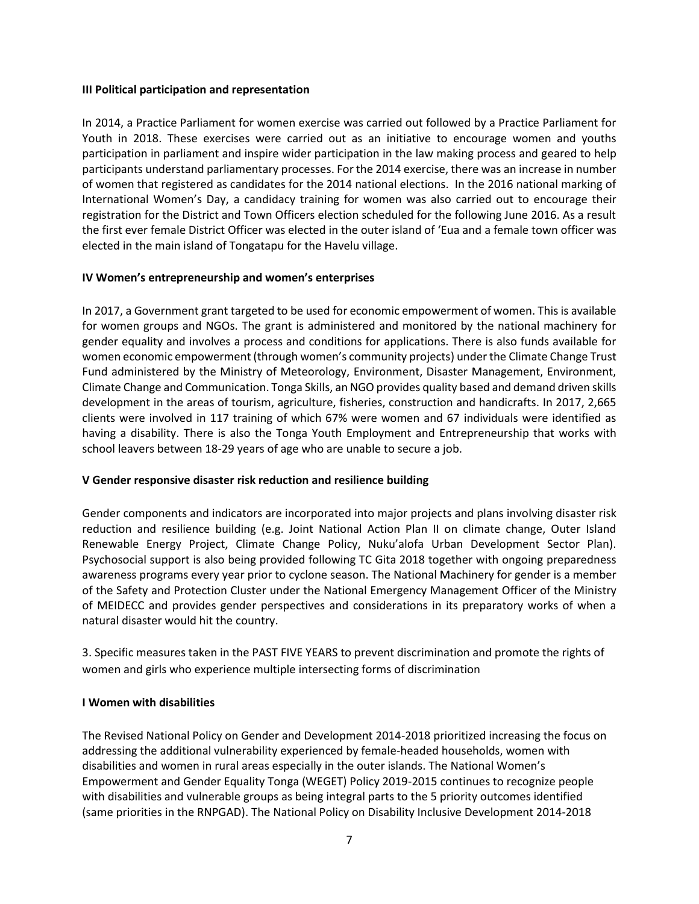#### **III Political participation and representation**

In 2014, a Practice Parliament for women exercise was carried out followed by a Practice Parliament for Youth in 2018. These exercises were carried out as an initiative to encourage women and youths participation in parliament and inspire wider participation in the law making process and geared to help participants understand parliamentary processes. For the 2014 exercise, there was an increase in number of women that registered as candidates for the 2014 national elections. In the 2016 national marking of International Women's Day, a candidacy training for women was also carried out to encourage their registration for the District and Town Officers election scheduled for the following June 2016. As a result the first ever female District Officer was elected in the outer island of 'Eua and a female town officer was elected in the main island of Tongatapu for the Havelu village.

#### **IV Women's entrepreneurship and women's enterprises**

In 2017, a Government grant targeted to be used for economic empowerment of women. This is available for women groups and NGOs. The grant is administered and monitored by the national machinery for gender equality and involves a process and conditions for applications. There is also funds available for women economic empowerment (through women's community projects) under the Climate Change Trust Fund administered by the Ministry of Meteorology, Environment, Disaster Management, Environment, Climate Change and Communication. Tonga Skills, an NGO provides quality based and demand driven skills development in the areas of tourism, agriculture, fisheries, construction and handicrafts. In 2017, 2,665 clients were involved in 117 training of which 67% were women and 67 individuals were identified as having a disability. There is also the Tonga Youth Employment and Entrepreneurship that works with school leavers between 18-29 years of age who are unable to secure a job.

#### **V Gender responsive disaster risk reduction and resilience building**

Gender components and indicators are incorporated into major projects and plans involving disaster risk reduction and resilience building (e.g. Joint National Action Plan II on climate change, Outer Island Renewable Energy Project, Climate Change Policy, Nuku'alofa Urban Development Sector Plan). Psychosocial support is also being provided following TC Gita 2018 together with ongoing preparedness awareness programs every year prior to cyclone season. The National Machinery for gender is a member of the Safety and Protection Cluster under the National Emergency Management Officer of the Ministry of MEIDECC and provides gender perspectives and considerations in its preparatory works of when a natural disaster would hit the country.

3. Specific measures taken in the PAST FIVE YEARS to prevent discrimination and promote the rights of women and girls who experience multiple intersecting forms of discrimination

#### **I Women with disabilities**

The Revised National Policy on Gender and Development 2014-2018 prioritized increasing the focus on addressing the additional vulnerability experienced by female-headed households, women with disabilities and women in rural areas especially in the outer islands. The National Women's Empowerment and Gender Equality Tonga (WEGET) Policy 2019-2015 continues to recognize people with disabilities and vulnerable groups as being integral parts to the 5 priority outcomes identified (same priorities in the RNPGAD). The National Policy on Disability Inclusive Development 2014-2018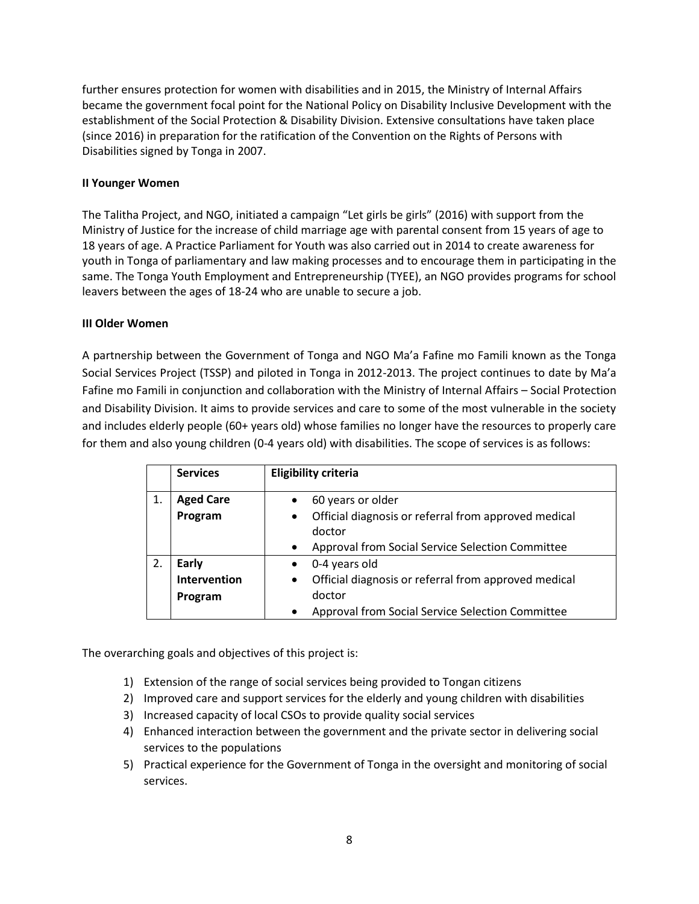further ensures protection for women with disabilities and in 2015, the Ministry of Internal Affairs became the government focal point for the National Policy on Disability Inclusive Development with the establishment of the Social Protection & Disability Division. Extensive consultations have taken place (since 2016) in preparation for the ratification of the Convention on the Rights of Persons with Disabilities signed by Tonga in 2007.

#### **II Younger Women**

The Talitha Project, and NGO, initiated a campaign "Let girls be girls" (2016) with support from the Ministry of Justice for the increase of child marriage age with parental consent from 15 years of age to 18 years of age. A Practice Parliament for Youth was also carried out in 2014 to create awareness for youth in Tonga of parliamentary and law making processes and to encourage them in participating in the same. The Tonga Youth Employment and Entrepreneurship (TYEE), an NGO provides programs for school leavers between the ages of 18-24 who are unable to secure a job.

#### **III Older Women**

A partnership between the Government of Tonga and NGO Ma'a Fafine mo Famili known as the Tonga Social Services Project (TSSP) and piloted in Tonga in 2012-2013. The project continues to date by Ma'a Fafine mo Famili in conjunction and collaboration with the Ministry of Internal Affairs – Social Protection and Disability Division. It aims to provide services and care to some of the most vulnerable in the society and includes elderly people (60+ years old) whose families no longer have the resources to properly care for them and also young children (0-4 years old) with disabilities. The scope of services is as follows:

|    | <b>Services</b>  | <b>Eligibility criteria</b>                                                 |
|----|------------------|-----------------------------------------------------------------------------|
| 1. | <b>Aged Care</b> | 60 years or older<br>$\bullet$                                              |
|    | Program          | Official diagnosis or referral from approved medical<br>$\bullet$<br>doctor |
|    |                  | Approval from Social Service Selection Committee<br>$\bullet$               |
| 2. | Early            | 0-4 years old<br>$\bullet$                                                  |
|    | Intervention     | Official diagnosis or referral from approved medical<br>$\bullet$           |
|    | Program          | doctor                                                                      |
|    |                  | Approval from Social Service Selection Committee<br>$\bullet$               |

The overarching goals and objectives of this project is:

- 1) Extension of the range of social services being provided to Tongan citizens
- 2) Improved care and support services for the elderly and young children with disabilities
- 3) Increased capacity of local CSOs to provide quality social services
- 4) Enhanced interaction between the government and the private sector in delivering social services to the populations
- 5) Practical experience for the Government of Tonga in the oversight and monitoring of social services.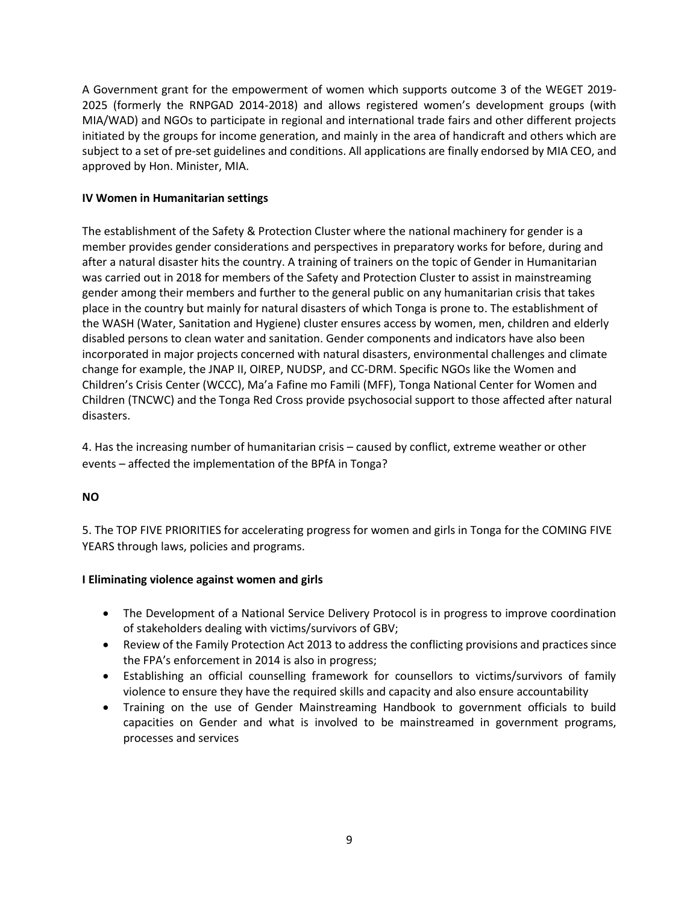A Government grant for the empowerment of women which supports outcome 3 of the WEGET 2019- 2025 (formerly the RNPGAD 2014-2018) and allows registered women's development groups (with MIA/WAD) and NGOs to participate in regional and international trade fairs and other different projects initiated by the groups for income generation, and mainly in the area of handicraft and others which are subject to a set of pre-set guidelines and conditions. All applications are finally endorsed by MIA CEO, and approved by Hon. Minister, MIA.

### **IV Women in Humanitarian settings**

The establishment of the Safety & Protection Cluster where the national machinery for gender is a member provides gender considerations and perspectives in preparatory works for before, during and after a natural disaster hits the country. A training of trainers on the topic of Gender in Humanitarian was carried out in 2018 for members of the Safety and Protection Cluster to assist in mainstreaming gender among their members and further to the general public on any humanitarian crisis that takes place in the country but mainly for natural disasters of which Tonga is prone to. The establishment of the WASH (Water, Sanitation and Hygiene) cluster ensures access by women, men, children and elderly disabled persons to clean water and sanitation. Gender components and indicators have also been incorporated in major projects concerned with natural disasters, environmental challenges and climate change for example, the JNAP II, OIREP, NUDSP, and CC-DRM. Specific NGOs like the Women and Children's Crisis Center (WCCC), Ma'a Fafine mo Famili (MFF), Tonga National Center for Women and Children (TNCWC) and the Tonga Red Cross provide psychosocial support to those affected after natural disasters.

4. Has the increasing number of humanitarian crisis – caused by conflict, extreme weather or other events – affected the implementation of the BPfA in Tonga?

#### **NO**

5. The TOP FIVE PRIORITIES for accelerating progress for women and girls in Tonga for the COMING FIVE YEARS through laws, policies and programs.

#### **I Eliminating violence against women and girls**

- The Development of a National Service Delivery Protocol is in progress to improve coordination of stakeholders dealing with victims/survivors of GBV;
- Review of the Family Protection Act 2013 to address the conflicting provisions and practices since the FPA's enforcement in 2014 is also in progress;
- Establishing an official counselling framework for counsellors to victims/survivors of family violence to ensure they have the required skills and capacity and also ensure accountability
- Training on the use of Gender Mainstreaming Handbook to government officials to build capacities on Gender and what is involved to be mainstreamed in government programs, processes and services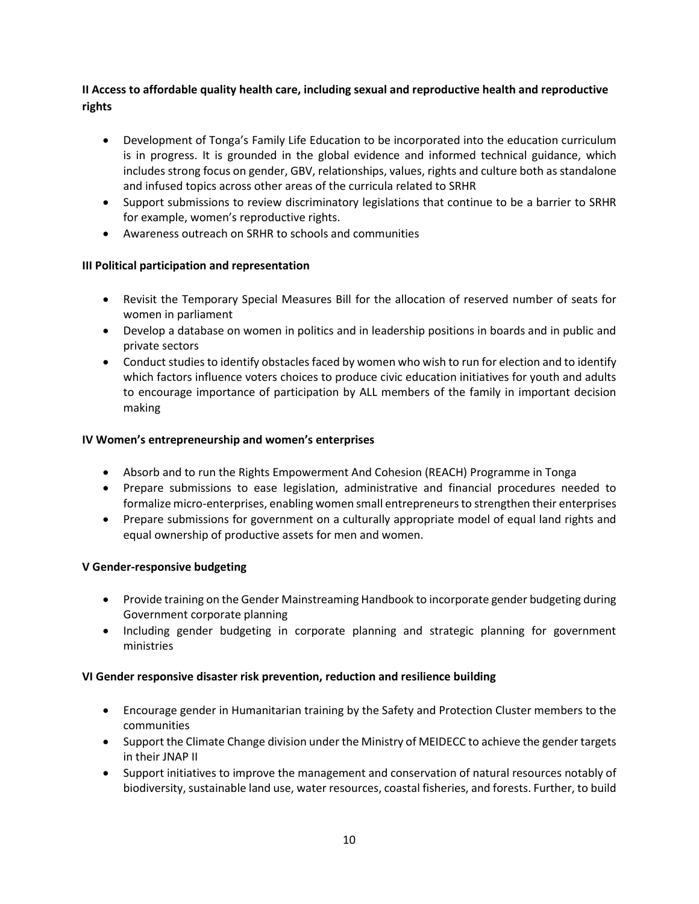## **II Access to affordable quality health care, including sexual and reproductive health and reproductive rights**

- Development of Tonga's Family Life Education to be incorporated into the education curriculum is in progress. It is grounded in the global evidence and informed technical guidance, which includes strong focus on gender, GBV, relationships, values, rights and culture both as standalone and infused topics across other areas of the curricula related to SRHR
- Support submissions to review discriminatory legislations that continue to be a barrier to SRHR for example, women's reproductive rights.
- Awareness outreach on SRHR to schools and communities

# **III Political participation and representation**

- Revisit the Temporary Special Measures Bill for the allocation of reserved number of seats for women in parliament
- Develop a database on women in politics and in leadership positions in boards and in public and private sectors
- Conduct studies to identify obstacles faced by women who wish to run for election and to identify which factors influence voters choices to produce civic education initiatives for youth and adults to encourage importance of participation by ALL members of the family in important decision making

### **IV Women's entrepreneurship and women's enterprises**

- Absorb and to run the Rights Empowerment And Cohesion (REACH) Programme in Tonga
- Prepare submissions to ease legislation, administrative and financial procedures needed to formalize micro-enterprises, enabling women small entrepreneursto strengthen their enterprises
- Prepare submissions for government on a culturally appropriate model of equal land rights and equal ownership of productive assets for men and women.

### **V Gender-responsive budgeting**

- Provide training on the Gender Mainstreaming Handbook to incorporate gender budgeting during Government corporate planning
- Including gender budgeting in corporate planning and strategic planning for government ministries

### **VI Gender responsive disaster risk prevention, reduction and resilience building**

- Encourage gender in Humanitarian training by the Safety and Protection Cluster members to the communities
- Support the Climate Change division under the Ministry of MEIDECC to achieve the gender targets in their JNAP II
- Support initiatives to improve the management and conservation of natural resources notably of biodiversity, sustainable land use, water resources, coastal fisheries, and forests. Further, to build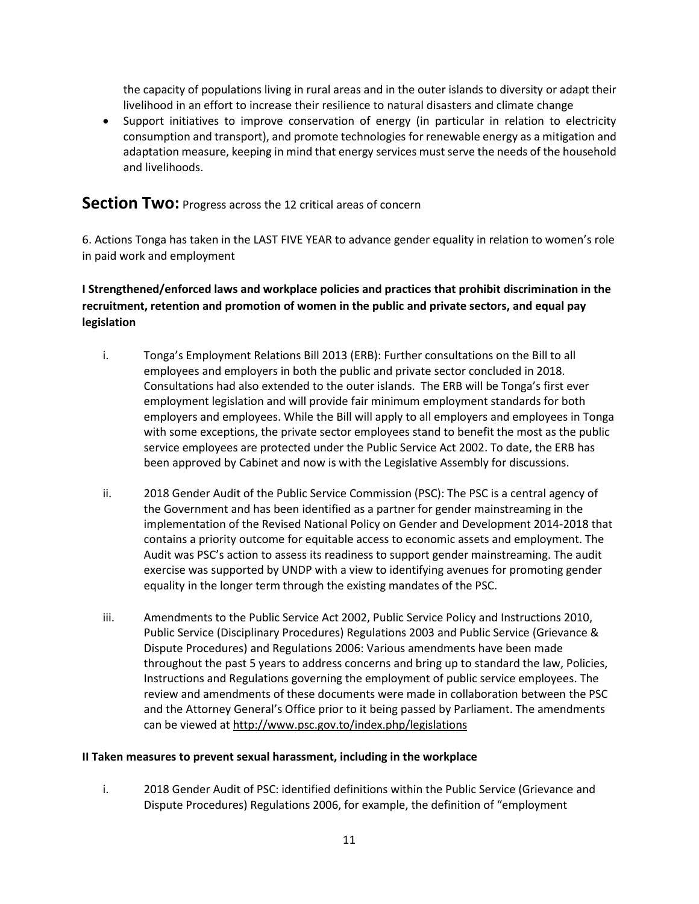the capacity of populations living in rural areas and in the outer islands to diversity or adapt their livelihood in an effort to increase their resilience to natural disasters and climate change

 Support initiatives to improve conservation of energy (in particular in relation to electricity consumption and transport), and promote technologies for renewable energy as a mitigation and adaptation measure, keeping in mind that energy services must serve the needs of the household and livelihoods.

# **Section Two:** Progress across the 12 critical areas of concern

6. Actions Tonga has taken in the LAST FIVE YEAR to advance gender equality in relation to women's role in paid work and employment

# **I Strengthened/enforced laws and workplace policies and practices that prohibit discrimination in the recruitment, retention and promotion of women in the public and private sectors, and equal pay legislation**

- i. Tonga's Employment Relations Bill 2013 (ERB): Further consultations on the Bill to all employees and employers in both the public and private sector concluded in 2018. Consultations had also extended to the outer islands. The ERB will be Tonga's first ever employment legislation and will provide fair minimum employment standards for both employers and employees. While the Bill will apply to all employers and employees in Tonga with some exceptions, the private sector employees stand to benefit the most as the public service employees are protected under the Public Service Act 2002. To date, the ERB has been approved by Cabinet and now is with the Legislative Assembly for discussions.
- ii. 2018 Gender Audit of the Public Service Commission (PSC): The PSC is a central agency of the Government and has been identified as a partner for gender mainstreaming in the implementation of the Revised National Policy on Gender and Development 2014-2018 that contains a priority outcome for equitable access to economic assets and employment. The Audit was PSC's action to assess its readiness to support gender mainstreaming. The audit exercise was supported by UNDP with a view to identifying avenues for promoting gender equality in the longer term through the existing mandates of the PSC.
- iii. Amendments to the Public Service Act 2002, Public Service Policy and Instructions 2010, Public Service (Disciplinary Procedures) Regulations 2003 and Public Service (Grievance & Dispute Procedures) and Regulations 2006: Various amendments have been made throughout the past 5 years to address concerns and bring up to standard the law, Policies, Instructions and Regulations governing the employment of public service employees. The review and amendments of these documents were made in collaboration between the PSC and the Attorney General's Office prior to it being passed by Parliament. The amendments can be viewed at<http://www.psc.gov.to/index.php/legislations>

#### **II Taken measures to prevent sexual harassment, including in the workplace**

i. 2018 Gender Audit of PSC: identified definitions within the Public Service (Grievance and Dispute Procedures) Regulations 2006, for example, the definition of "employment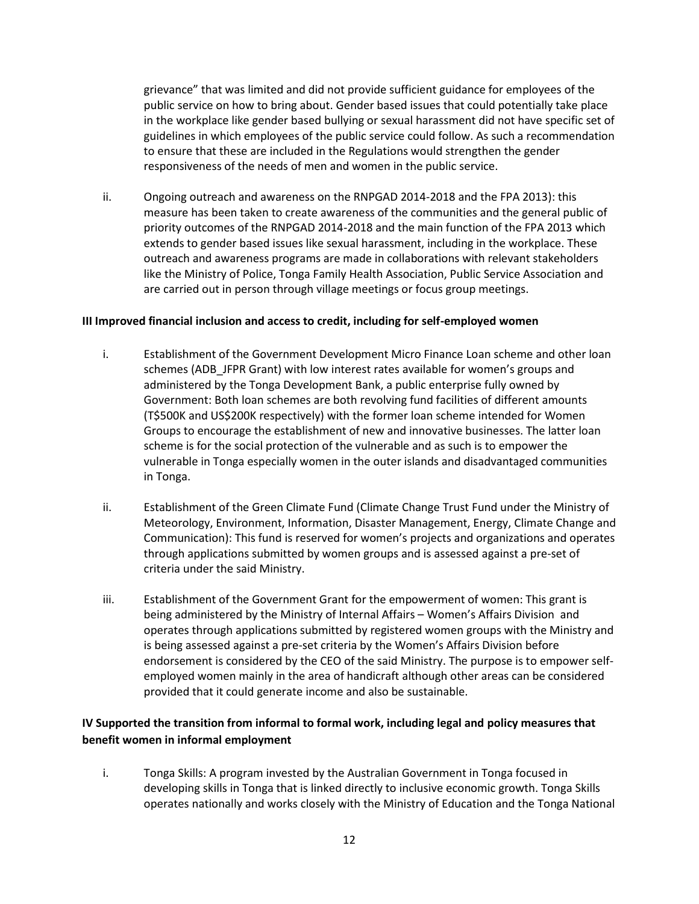grievance" that was limited and did not provide sufficient guidance for employees of the public service on how to bring about. Gender based issues that could potentially take place in the workplace like gender based bullying or sexual harassment did not have specific set of guidelines in which employees of the public service could follow. As such a recommendation to ensure that these are included in the Regulations would strengthen the gender responsiveness of the needs of men and women in the public service.

ii. Ongoing outreach and awareness on the RNPGAD 2014-2018 and the FPA 2013): this measure has been taken to create awareness of the communities and the general public of priority outcomes of the RNPGAD 2014-2018 and the main function of the FPA 2013 which extends to gender based issues like sexual harassment, including in the workplace. These outreach and awareness programs are made in collaborations with relevant stakeholders like the Ministry of Police, Tonga Family Health Association, Public Service Association and are carried out in person through village meetings or focus group meetings.

#### **III Improved financial inclusion and access to credit, including for self-employed women**

- i. Establishment of the Government Development Micro Finance Loan scheme and other loan schemes (ADB\_JFPR Grant) with low interest rates available for women's groups and administered by the Tonga Development Bank, a public enterprise fully owned by Government: Both loan schemes are both revolving fund facilities of different amounts (T\$500K and US\$200K respectively) with the former loan scheme intended for Women Groups to encourage the establishment of new and innovative businesses. The latter loan scheme is for the social protection of the vulnerable and as such is to empower the vulnerable in Tonga especially women in the outer islands and disadvantaged communities in Tonga.
- ii. Establishment of the Green Climate Fund (Climate Change Trust Fund under the Ministry of Meteorology, Environment, Information, Disaster Management, Energy, Climate Change and Communication): This fund is reserved for women's projects and organizations and operates through applications submitted by women groups and is assessed against a pre-set of criteria under the said Ministry.
- iii. Establishment of the Government Grant for the empowerment of women: This grant is being administered by the Ministry of Internal Affairs – Women's Affairs Division and operates through applications submitted by registered women groups with the Ministry and is being assessed against a pre-set criteria by the Women's Affairs Division before endorsement is considered by the CEO of the said Ministry. The purpose is to empower selfemployed women mainly in the area of handicraft although other areas can be considered provided that it could generate income and also be sustainable.

### **IV Supported the transition from informal to formal work, including legal and policy measures that benefit women in informal employment**

i. Tonga Skills: A program invested by the Australian Government in Tonga focused in developing skills in Tonga that is linked directly to inclusive economic growth. Tonga Skills operates nationally and works closely with the Ministry of Education and the Tonga National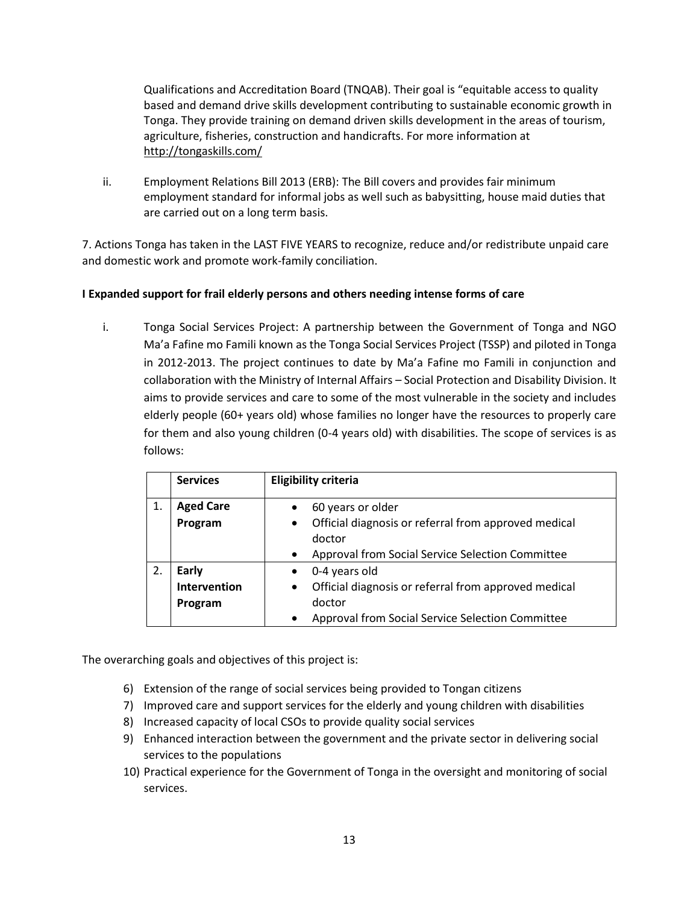Qualifications and Accreditation Board (TNQAB). Their goal is "equitable access to quality based and demand drive skills development contributing to sustainable economic growth in Tonga. They provide training on demand driven skills development in the areas of tourism, agriculture, fisheries, construction and handicrafts. For more information at <http://tongaskills.com/>

ii. Employment Relations Bill 2013 (ERB): The Bill covers and provides fair minimum employment standard for informal jobs as well such as babysitting, house maid duties that are carried out on a long term basis.

7. Actions Tonga has taken in the LAST FIVE YEARS to recognize, reduce and/or redistribute unpaid care and domestic work and promote work-family conciliation.

### **I Expanded support for frail elderly persons and others needing intense forms of care**

i. Tonga Social Services Project: A partnership between the Government of Tonga and NGO Ma'a Fafine mo Famili known as the Tonga Social Services Project (TSSP) and piloted in Tonga in 2012-2013. The project continues to date by Ma'a Fafine mo Famili in conjunction and collaboration with the Ministry of Internal Affairs – Social Protection and Disability Division. It aims to provide services and care to some of the most vulnerable in the society and includes elderly people (60+ years old) whose families no longer have the resources to properly care for them and also young children (0-4 years old) with disabilities. The scope of services is as follows:

|    | <b>Services</b>  | <b>Eligibility criteria</b>                                                 |
|----|------------------|-----------------------------------------------------------------------------|
| 1. | <b>Aged Care</b> | 60 years or older                                                           |
|    | Program          | Official diagnosis or referral from approved medical<br>$\bullet$<br>doctor |
|    |                  | Approval from Social Service Selection Committee<br>$\bullet$               |
| 2. | <b>Early</b>     | 0-4 years old                                                               |
|    | Intervention     | Official diagnosis or referral from approved medical<br>$\bullet$           |
|    | Program          | doctor                                                                      |
|    |                  | Approval from Social Service Selection Committee<br>$\bullet$               |

The overarching goals and objectives of this project is:

- 6) Extension of the range of social services being provided to Tongan citizens
- 7) Improved care and support services for the elderly and young children with disabilities
- 8) Increased capacity of local CSOs to provide quality social services
- 9) Enhanced interaction between the government and the private sector in delivering social services to the populations
- 10) Practical experience for the Government of Tonga in the oversight and monitoring of social services.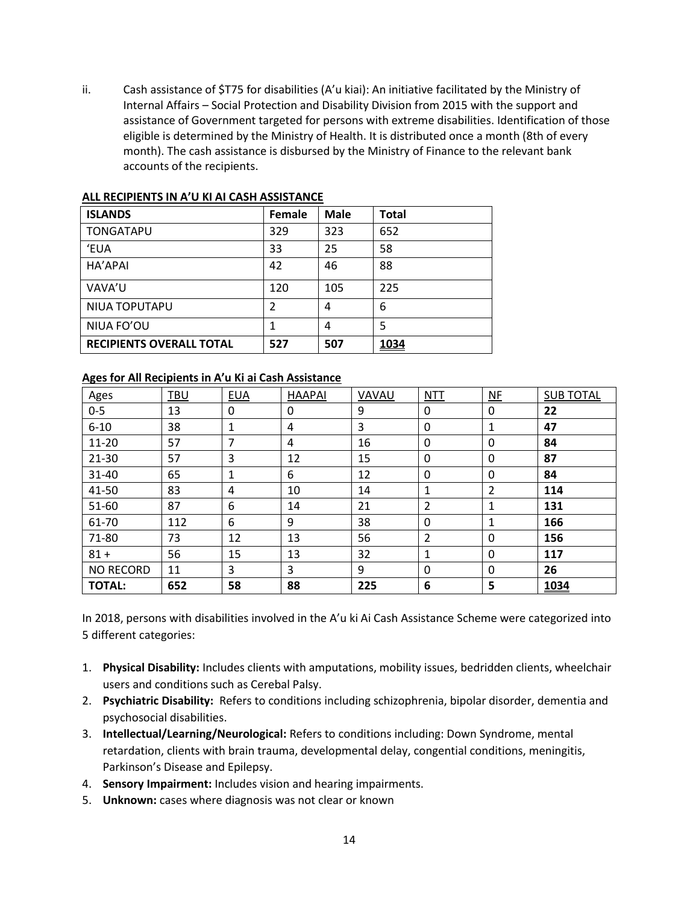ii. Cash assistance of \$T75 for disabilities (A'u kiai): An initiative facilitated by the Ministry of Internal Affairs – Social Protection and Disability Division from 2015 with the support and assistance of Government targeted for persons with extreme disabilities. Identification of those eligible is determined by the Ministry of Health. It is distributed once a month (8th of every month). The cash assistance is disbursed by the Ministry of Finance to the relevant bank accounts of the recipients.

| <b>ISLANDS</b>                  | Female         | <b>Male</b> | <b>Total</b> |
|---------------------------------|----------------|-------------|--------------|
| <b>TONGATAPU</b>                | 329            | 323         | 652          |
| <b>EUA</b>                      | 33             | 25          | 58           |
| HA'APAI                         | 42             | 46          | 88           |
| VAVA'U                          | 120            | 105         | 225          |
| NIUA TOPUTAPU                   | $\mathfrak{p}$ | 4           | 6            |
| NIUA FO'OU                      |                | 4           | 5            |
| <b>RECIPIENTS OVERALL TOTAL</b> | 527            | 507         | 1034         |

#### **ALL RECIPIENTS IN A'U KI AI CASH ASSISTANCE**

#### **Ages for All Recipients in A'u Ki ai Cash Assistance**

| Ages             | <b>TBU</b> | <b>EUA</b> | <b>HAAPAI</b> | VAVAU | <b>NTT</b>     | N <sub>F</sub> | <b>SUB TOTAL</b> |
|------------------|------------|------------|---------------|-------|----------------|----------------|------------------|
| $0 - 5$          | 13         | 0          | 0             | 9     | 0              | 0              | 22               |
| $6 - 10$         | 38         | 1          | 4             | 3     | 0              | 1              | 47               |
| $11 - 20$        | 57         | 7          | 4             | 16    | 0              | 0              | 84               |
| $21 - 30$        | 57         | 3          | 12            | 15    | 0              | 0              | 87               |
| $31 - 40$        | 65         | 1          | 6             | 12    | $\mathbf 0$    | 0              | 84               |
| 41-50            | 83         | 4          | 10            | 14    | 1              | 2              | 114              |
| 51-60            | 87         | 6          | 14            | 21    | 2              |                | 131              |
| 61-70            | 112        | 6          | 9             | 38    | $\mathbf 0$    |                | 166              |
| 71-80            | 73         | 12         | 13            | 56    | $\overline{2}$ | 0              | 156              |
| $81 +$           | 56         | 15         | 13            | 32    | 1              | 0              | 117              |
| <b>NO RECORD</b> | 11         | 3          | 3             | 9     | 0              | 0              | 26               |
| <b>TOTAL:</b>    | 652        | 58         | 88            | 225   | 6              | 5              | 1034             |

In 2018, persons with disabilities involved in the A'u ki Ai Cash Assistance Scheme were categorized into 5 different categories:

- 1. **Physical Disability:** Includes clients with amputations, mobility issues, bedridden clients, wheelchair users and conditions such as Cerebal Palsy.
- 2. **Psychiatric Disability:** Refers to conditions including schizophrenia, bipolar disorder, dementia and psychosocial disabilities.
- 3. **Intellectual/Learning/Neurological:** Refers to conditions including: Down Syndrome, mental retardation, clients with brain trauma, developmental delay, congential conditions, meningitis, Parkinson's Disease and Epilepsy.
- 4. **Sensory Impairment:** Includes vision and hearing impairments.
- 5. **Unknown:** cases where diagnosis was not clear or known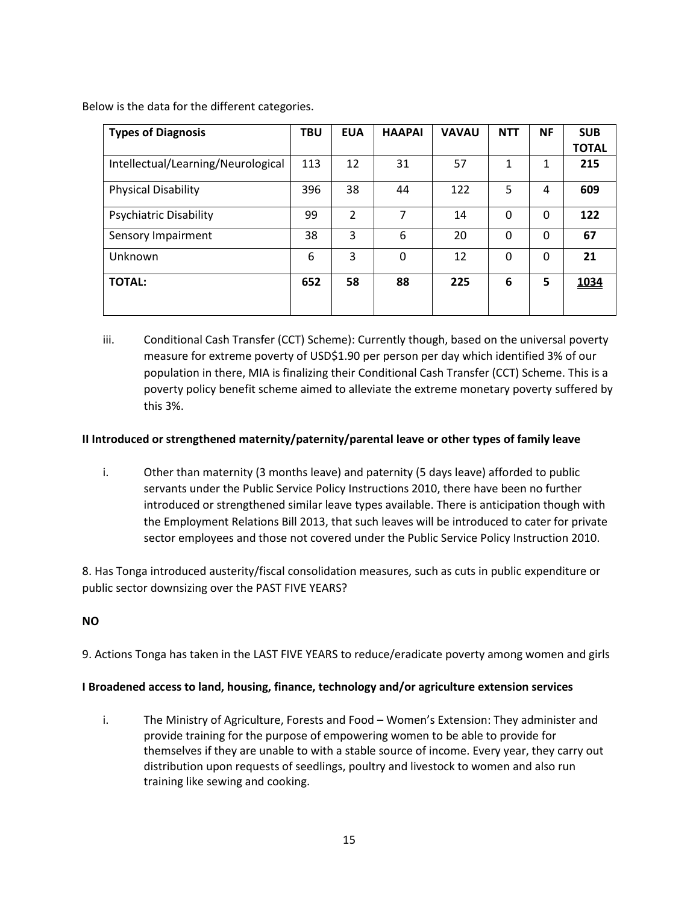Below is the data for the different categories.

| <b>Types of Diagnosis</b>          | <b>TBU</b> | <b>EUA</b>     | <b>HAAPAI</b> | <b>VAVAU</b> | <b>NTT</b> | <b>NF</b> | <b>SUB</b>   |
|------------------------------------|------------|----------------|---------------|--------------|------------|-----------|--------------|
|                                    |            |                |               |              |            |           | <b>TOTAL</b> |
| Intellectual/Learning/Neurological | 113        | 12             | 31            | 57           | 1          | 1         | 215          |
| <b>Physical Disability</b>         | 396        | 38             | 44            | 122          | 5          | 4         | 609          |
| <b>Psychiatric Disability</b>      | 99         | $\overline{2}$ | 7             | 14           | 0          | 0         | 122          |
| Sensory Impairment                 | 38         | 3              | 6             | 20           | 0          | 0         | 67           |
| Unknown                            | 6          | 3              | $\mathbf{0}$  | 12           | $\Omega$   | $\Omega$  | 21           |
| <b>TOTAL:</b>                      | 652        | 58             | 88            | 225          | 6          | 5         | 1034         |

iii. Conditional Cash Transfer (CCT) Scheme): Currently though, based on the universal poverty measure for extreme poverty of USD\$1.90 per person per day which identified 3% of our population in there, MIA is finalizing their Conditional Cash Transfer (CCT) Scheme. This is a poverty policy benefit scheme aimed to alleviate the extreme monetary poverty suffered by this 3%.

### **II Introduced or strengthened maternity/paternity/parental leave or other types of family leave**

i. Other than maternity (3 months leave) and paternity (5 days leave) afforded to public servants under the Public Service Policy Instructions 2010, there have been no further introduced or strengthened similar leave types available. There is anticipation though with the Employment Relations Bill 2013, that such leaves will be introduced to cater for private sector employees and those not covered under the Public Service Policy Instruction 2010.

8. Has Tonga introduced austerity/fiscal consolidation measures, such as cuts in public expenditure or public sector downsizing over the PAST FIVE YEARS?

### **NO**

9. Actions Tonga has taken in the LAST FIVE YEARS to reduce/eradicate poverty among women and girls

#### **I Broadened access to land, housing, finance, technology and/or agriculture extension services**

i. The Ministry of Agriculture, Forests and Food – Women's Extension: They administer and provide training for the purpose of empowering women to be able to provide for themselves if they are unable to with a stable source of income. Every year, they carry out distribution upon requests of seedlings, poultry and livestock to women and also run training like sewing and cooking.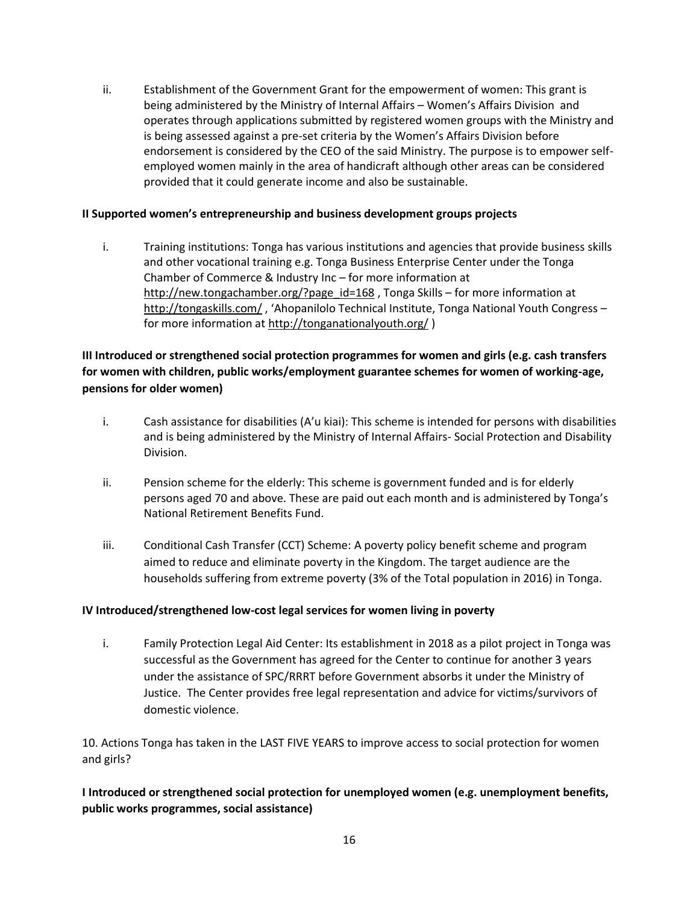ii. Establishment of the Government Grant for the empowerment of women: This grant is being administered by the Ministry of Internal Affairs – Women's Affairs Division and operates through applications submitted by registered women groups with the Ministry and is being assessed against a pre-set criteria by the Women's Affairs Division before endorsement is considered by the CEO of the said Ministry. The purpose is to empower selfemployed women mainly in the area of handicraft although other areas can be considered provided that it could generate income and also be sustainable.

### **II Supported women's entrepreneurship and business development groups projects**

i. Training institutions: Tonga has various institutions and agencies that provide business skills and other vocational training e.g. Tonga Business Enterprise Center under the Tonga Chamber of Commerce & Industry Inc – for more information at [http://new.tongachamber.org/?page\\_id=168](http://new.tongachamber.org/?page_id=168), Tonga Skills – for more information at <http://tongaskills.com/> , 'Ahopanilolo Technical Institute, Tonga National Youth Congress – for more information at<http://tonganationalyouth.org/>)

### **III Introduced or strengthened social protection programmes for women and girls (e.g. cash transfers for women with children, public works/employment guarantee schemes for women of working-age, pensions for older women)**

- i. Cash assistance for disabilities (A'u kiai): This scheme is intended for persons with disabilities and is being administered by the Ministry of Internal Affairs- Social Protection and Disability Division.
- ii. Pension scheme for the elderly: This scheme is government funded and is for elderly persons aged 70 and above. These are paid out each month and is administered by Tonga's National Retirement Benefits Fund.
- iii. Conditional Cash Transfer (CCT) Scheme: A poverty policy benefit scheme and program aimed to reduce and eliminate poverty in the Kingdom. The target audience are the households suffering from extreme poverty (3% of the Total population in 2016) in Tonga.

#### **IV Introduced/strengthened low-cost legal services for women living in poverty**

i. Family Protection Legal Aid Center: Its establishment in 2018 as a pilot project in Tonga was successful as the Government has agreed for the Center to continue for another 3 years under the assistance of SPC/RRRT before Government absorbs it under the Ministry of Justice. The Center provides free legal representation and advice for victims/survivors of domestic violence.

10. Actions Tonga has taken in the LAST FIVE YEARS to improve access to social protection for women and girls?

# **I Introduced or strengthened social protection for unemployed women (e.g. unemployment benefits, public works programmes, social assistance)**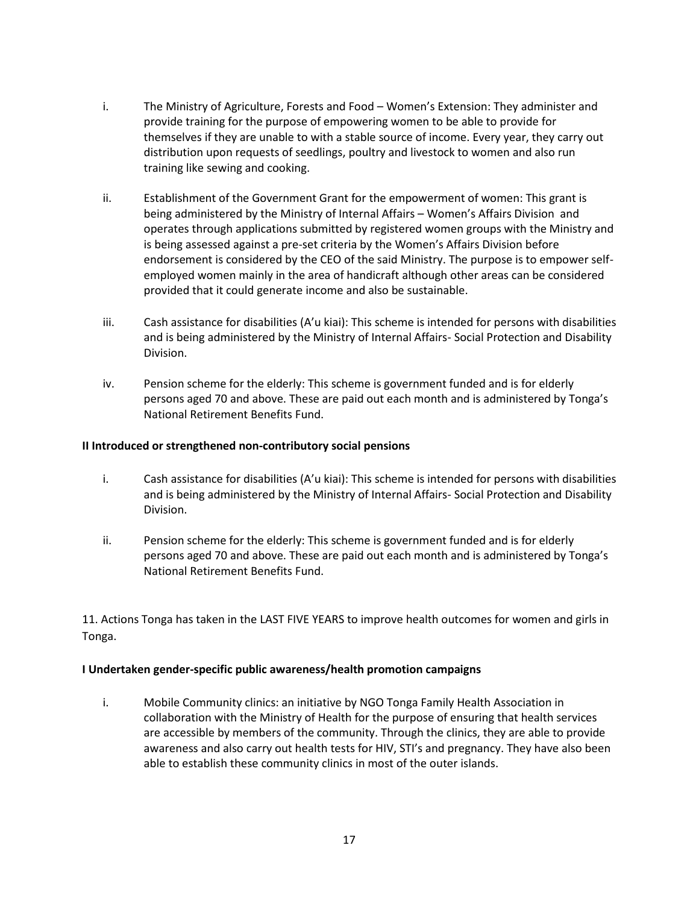- i. The Ministry of Agriculture, Forests and Food Women's Extension: They administer and provide training for the purpose of empowering women to be able to provide for themselves if they are unable to with a stable source of income. Every year, they carry out distribution upon requests of seedlings, poultry and livestock to women and also run training like sewing and cooking.
- ii. Establishment of the Government Grant for the empowerment of women: This grant is being administered by the Ministry of Internal Affairs – Women's Affairs Division and operates through applications submitted by registered women groups with the Ministry and is being assessed against a pre-set criteria by the Women's Affairs Division before endorsement is considered by the CEO of the said Ministry. The purpose is to empower selfemployed women mainly in the area of handicraft although other areas can be considered provided that it could generate income and also be sustainable.
- iii. Cash assistance for disabilities (A'u kiai): This scheme is intended for persons with disabilities and is being administered by the Ministry of Internal Affairs- Social Protection and Disability Division.
- iv. Pension scheme for the elderly: This scheme is government funded and is for elderly persons aged 70 and above. These are paid out each month and is administered by Tonga's National Retirement Benefits Fund.

#### **II Introduced or strengthened non-contributory social pensions**

- i. Cash assistance for disabilities (A'u kiai): This scheme is intended for persons with disabilities and is being administered by the Ministry of Internal Affairs- Social Protection and Disability Division.
- ii. Pension scheme for the elderly: This scheme is government funded and is for elderly persons aged 70 and above. These are paid out each month and is administered by Tonga's National Retirement Benefits Fund.

11. Actions Tonga has taken in the LAST FIVE YEARS to improve health outcomes for women and girls in Tonga.

#### **I Undertaken gender-specific public awareness/health promotion campaigns**

i. Mobile Community clinics: an initiative by NGO Tonga Family Health Association in collaboration with the Ministry of Health for the purpose of ensuring that health services are accessible by members of the community. Through the clinics, they are able to provide awareness and also carry out health tests for HIV, STI's and pregnancy. They have also been able to establish these community clinics in most of the outer islands.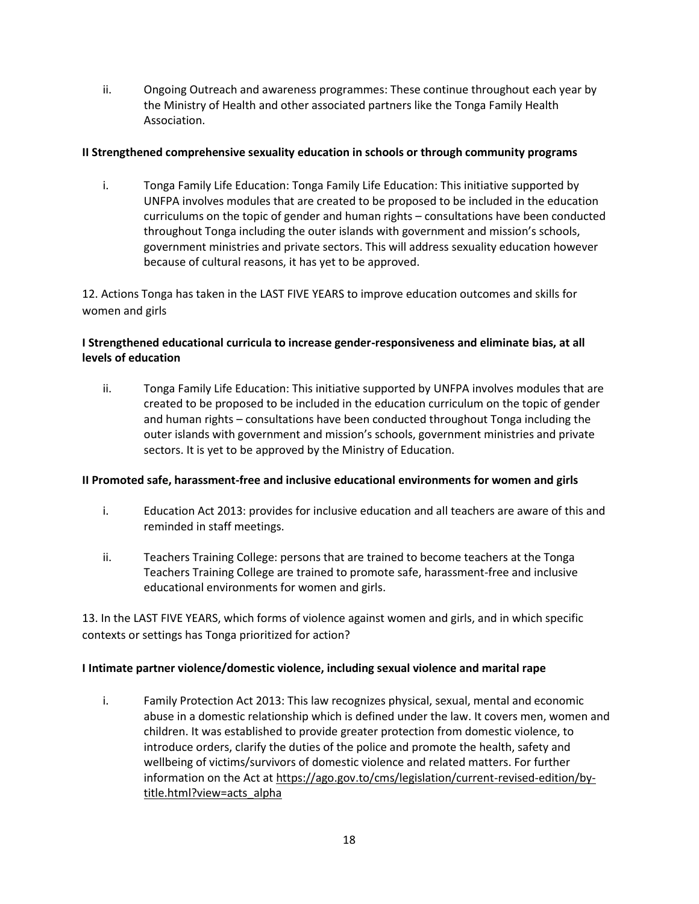ii. Ongoing Outreach and awareness programmes: These continue throughout each year by the Ministry of Health and other associated partners like the Tonga Family Health Association.

#### **II Strengthened comprehensive sexuality education in schools or through community programs**

i. Tonga Family Life Education: Tonga Family Life Education: This initiative supported by UNFPA involves modules that are created to be proposed to be included in the education curriculums on the topic of gender and human rights – consultations have been conducted throughout Tonga including the outer islands with government and mission's schools, government ministries and private sectors. This will address sexuality education however because of cultural reasons, it has yet to be approved.

12. Actions Tonga has taken in the LAST FIVE YEARS to improve education outcomes and skills for women and girls

## **I Strengthened educational curricula to increase gender-responsiveness and eliminate bias, at all levels of education**

ii. Tonga Family Life Education: This initiative supported by UNFPA involves modules that are created to be proposed to be included in the education curriculum on the topic of gender and human rights – consultations have been conducted throughout Tonga including the outer islands with government and mission's schools, government ministries and private sectors. It is yet to be approved by the Ministry of Education.

### **II Promoted safe, harassment-free and inclusive educational environments for women and girls**

- i. Education Act 2013: provides for inclusive education and all teachers are aware of this and reminded in staff meetings.
- ii. Teachers Training College: persons that are trained to become teachers at the Tonga Teachers Training College are trained to promote safe, harassment-free and inclusive educational environments for women and girls.

13. In the LAST FIVE YEARS, which forms of violence against women and girls, and in which specific contexts or settings has Tonga prioritized for action?

### **I Intimate partner violence/domestic violence, including sexual violence and marital rape**

i. Family Protection Act 2013: This law recognizes physical, sexual, mental and economic abuse in a domestic relationship which is defined under the law. It covers men, women and children. It was established to provide greater protection from domestic violence, to introduce orders, clarify the duties of the police and promote the health, safety and wellbeing of victims/survivors of domestic violence and related matters. For further information on the Act at [https://ago.gov.to/cms/legislation/current-revised-edition/by](https://ago.gov.to/cms/legislation/current-revised-edition/by-title.html?view=acts_alpha)[title.html?view=acts\\_alpha](https://ago.gov.to/cms/legislation/current-revised-edition/by-title.html?view=acts_alpha)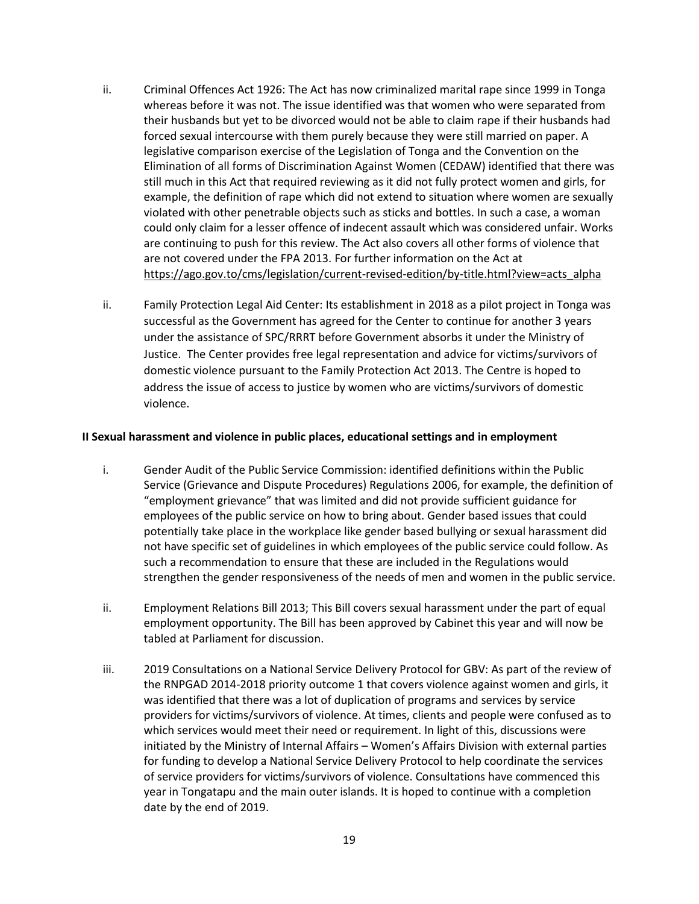- ii. Criminal Offences Act 1926: The Act has now criminalized marital rape since 1999 in Tonga whereas before it was not. The issue identified was that women who were separated from their husbands but yet to be divorced would not be able to claim rape if their husbands had forced sexual intercourse with them purely because they were still married on paper. A legislative comparison exercise of the Legislation of Tonga and the Convention on the Elimination of all forms of Discrimination Against Women (CEDAW) identified that there was still much in this Act that required reviewing as it did not fully protect women and girls, for example, the definition of rape which did not extend to situation where women are sexually violated with other penetrable objects such as sticks and bottles. In such a case, a woman could only claim for a lesser offence of indecent assault which was considered unfair. Works are continuing to push for this review. The Act also covers all other forms of violence that are not covered under the FPA 2013. For further information on the Act at [https://ago.gov.to/cms/legislation/current-revised-edition/by-title.html?view=acts\\_alpha](https://ago.gov.to/cms/legislation/current-revised-edition/by-title.html?view=acts_alpha)
- ii. Family Protection Legal Aid Center: Its establishment in 2018 as a pilot project in Tonga was successful as the Government has agreed for the Center to continue for another 3 years under the assistance of SPC/RRRT before Government absorbs it under the Ministry of Justice. The Center provides free legal representation and advice for victims/survivors of domestic violence pursuant to the Family Protection Act 2013. The Centre is hoped to address the issue of access to justice by women who are victims/survivors of domestic violence.

#### **II Sexual harassment and violence in public places, educational settings and in employment**

- i. Gender Audit of the Public Service Commission: identified definitions within the Public Service (Grievance and Dispute Procedures) Regulations 2006, for example, the definition of "employment grievance" that was limited and did not provide sufficient guidance for employees of the public service on how to bring about. Gender based issues that could potentially take place in the workplace like gender based bullying or sexual harassment did not have specific set of guidelines in which employees of the public service could follow. As such a recommendation to ensure that these are included in the Regulations would strengthen the gender responsiveness of the needs of men and women in the public service.
- ii. Employment Relations Bill 2013; This Bill covers sexual harassment under the part of equal employment opportunity. The Bill has been approved by Cabinet this year and will now be tabled at Parliament for discussion.
- iii. 2019 Consultations on a National Service Delivery Protocol for GBV: As part of the review of the RNPGAD 2014-2018 priority outcome 1 that covers violence against women and girls, it was identified that there was a lot of duplication of programs and services by service providers for victims/survivors of violence. At times, clients and people were confused as to which services would meet their need or requirement. In light of this, discussions were initiated by the Ministry of Internal Affairs – Women's Affairs Division with external parties for funding to develop a National Service Delivery Protocol to help coordinate the services of service providers for victims/survivors of violence. Consultations have commenced this year in Tongatapu and the main outer islands. It is hoped to continue with a completion date by the end of 2019.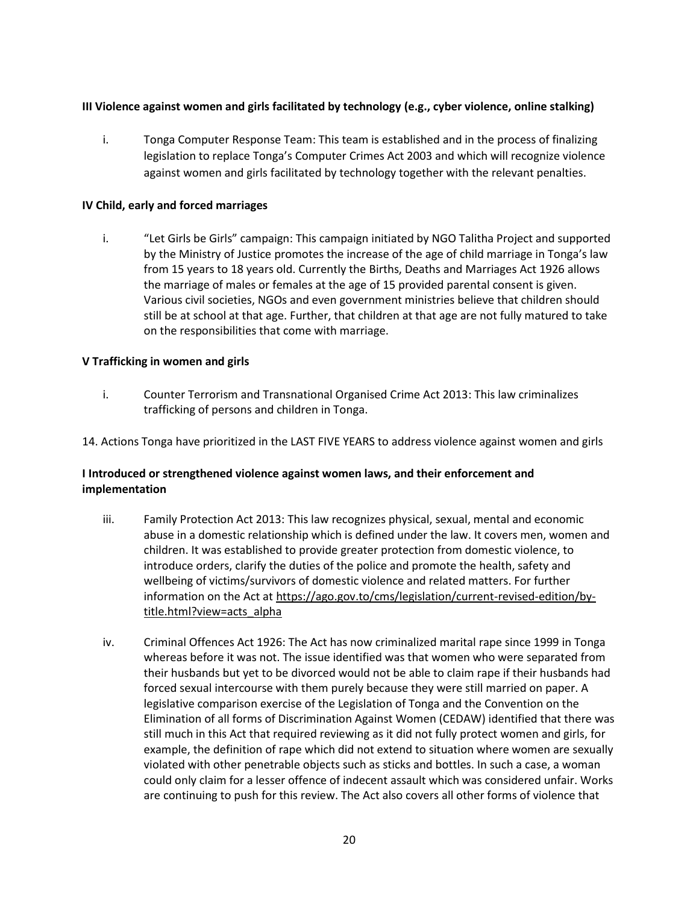### **III Violence against women and girls facilitated by technology (e.g., cyber violence, online stalking)**

i. Tonga Computer Response Team: This team is established and in the process of finalizing legislation to replace Tonga's Computer Crimes Act 2003 and which will recognize violence against women and girls facilitated by technology together with the relevant penalties.

#### **IV Child, early and forced marriages**

i. "Let Girls be Girls" campaign: This campaign initiated by NGO Talitha Project and supported by the Ministry of Justice promotes the increase of the age of child marriage in Tonga's law from 15 years to 18 years old. Currently the Births, Deaths and Marriages Act 1926 allows the marriage of males or females at the age of 15 provided parental consent is given. Various civil societies, NGOs and even government ministries believe that children should still be at school at that age. Further, that children at that age are not fully matured to take on the responsibilities that come with marriage.

#### **V Trafficking in women and girls**

- i. Counter Terrorism and Transnational Organised Crime Act 2013: This law criminalizes trafficking of persons and children in Tonga.
- 14. Actions Tonga have prioritized in the LAST FIVE YEARS to address violence against women and girls

### **I Introduced or strengthened violence against women laws, and their enforcement and implementation**

- iii. Family Protection Act 2013: This law recognizes physical, sexual, mental and economic abuse in a domestic relationship which is defined under the law. It covers men, women and children. It was established to provide greater protection from domestic violence, to introduce orders, clarify the duties of the police and promote the health, safety and wellbeing of victims/survivors of domestic violence and related matters. For further information on the Act at [https://ago.gov.to/cms/legislation/current-revised-edition/by](https://ago.gov.to/cms/legislation/current-revised-edition/by-title.html?view=acts_alpha)[title.html?view=acts\\_alpha](https://ago.gov.to/cms/legislation/current-revised-edition/by-title.html?view=acts_alpha)
- iv. Criminal Offences Act 1926: The Act has now criminalized marital rape since 1999 in Tonga whereas before it was not. The issue identified was that women who were separated from their husbands but yet to be divorced would not be able to claim rape if their husbands had forced sexual intercourse with them purely because they were still married on paper. A legislative comparison exercise of the Legislation of Tonga and the Convention on the Elimination of all forms of Discrimination Against Women (CEDAW) identified that there was still much in this Act that required reviewing as it did not fully protect women and girls, for example, the definition of rape which did not extend to situation where women are sexually violated with other penetrable objects such as sticks and bottles. In such a case, a woman could only claim for a lesser offence of indecent assault which was considered unfair. Works are continuing to push for this review. The Act also covers all other forms of violence that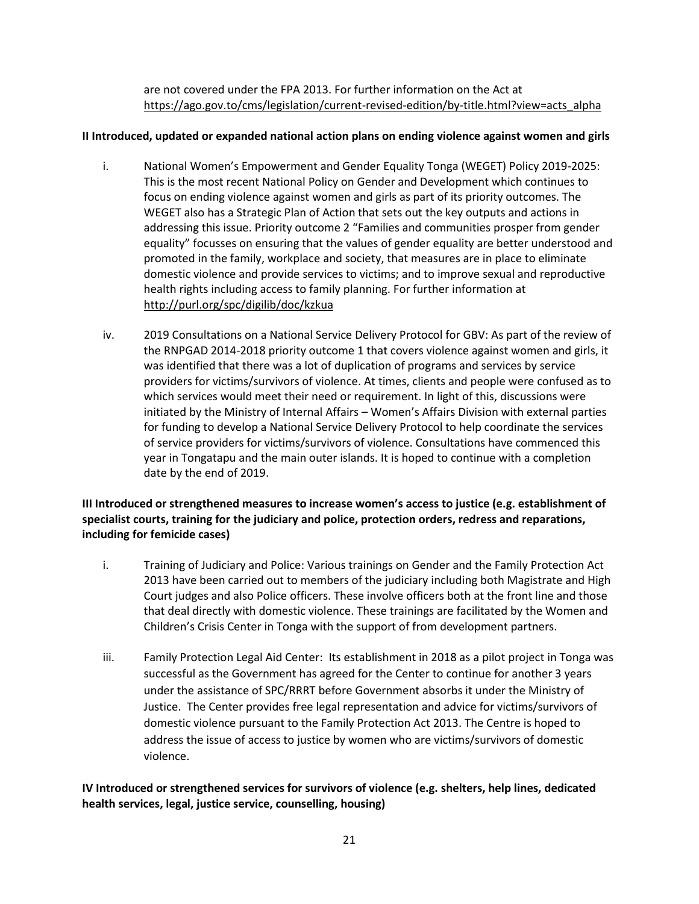are not covered under the FPA 2013. For further information on the Act at [https://ago.gov.to/cms/legislation/current-revised-edition/by-title.html?view=acts\\_alpha](https://ago.gov.to/cms/legislation/current-revised-edition/by-title.html?view=acts_alpha)

#### **II Introduced, updated or expanded national action plans on ending violence against women and girls**

- i. National Women's Empowerment and Gender Equality Tonga (WEGET) Policy 2019-2025: This is the most recent National Policy on Gender and Development which continues to focus on ending violence against women and girls as part of its priority outcomes. The WEGET also has a Strategic Plan of Action that sets out the key outputs and actions in addressing this issue. Priority outcome 2 "Families and communities prosper from gender equality" focusses on ensuring that the values of gender equality are better understood and promoted in the family, workplace and society, that measures are in place to eliminate domestic violence and provide services to victims; and to improve sexual and reproductive health rights including access to family planning. For further information at <http://purl.org/spc/digilib/doc/kzkua>
- iv. 2019 Consultations on a National Service Delivery Protocol for GBV: As part of the review of the RNPGAD 2014-2018 priority outcome 1 that covers violence against women and girls, it was identified that there was a lot of duplication of programs and services by service providers for victims/survivors of violence. At times, clients and people were confused as to which services would meet their need or requirement. In light of this, discussions were initiated by the Ministry of Internal Affairs – Women's Affairs Division with external parties for funding to develop a National Service Delivery Protocol to help coordinate the services of service providers for victims/survivors of violence. Consultations have commenced this year in Tongatapu and the main outer islands. It is hoped to continue with a completion date by the end of 2019.

### **III Introduced or strengthened measures to increase women's access to justice (e.g. establishment of specialist courts, training for the judiciary and police, protection orders, redress and reparations, including for femicide cases)**

- i. Training of Judiciary and Police: Various trainings on Gender and the Family Protection Act 2013 have been carried out to members of the judiciary including both Magistrate and High Court judges and also Police officers. These involve officers both at the front line and those that deal directly with domestic violence. These trainings are facilitated by the Women and Children's Crisis Center in Tonga with the support of from development partners.
- iii. Family Protection Legal Aid Center: Its establishment in 2018 as a pilot project in Tonga was successful as the Government has agreed for the Center to continue for another 3 years under the assistance of SPC/RRRT before Government absorbs it under the Ministry of Justice. The Center provides free legal representation and advice for victims/survivors of domestic violence pursuant to the Family Protection Act 2013. The Centre is hoped to address the issue of access to justice by women who are victims/survivors of domestic violence.

### **IV Introduced or strengthened services for survivors of violence (e.g. shelters, help lines, dedicated health services, legal, justice service, counselling, housing)**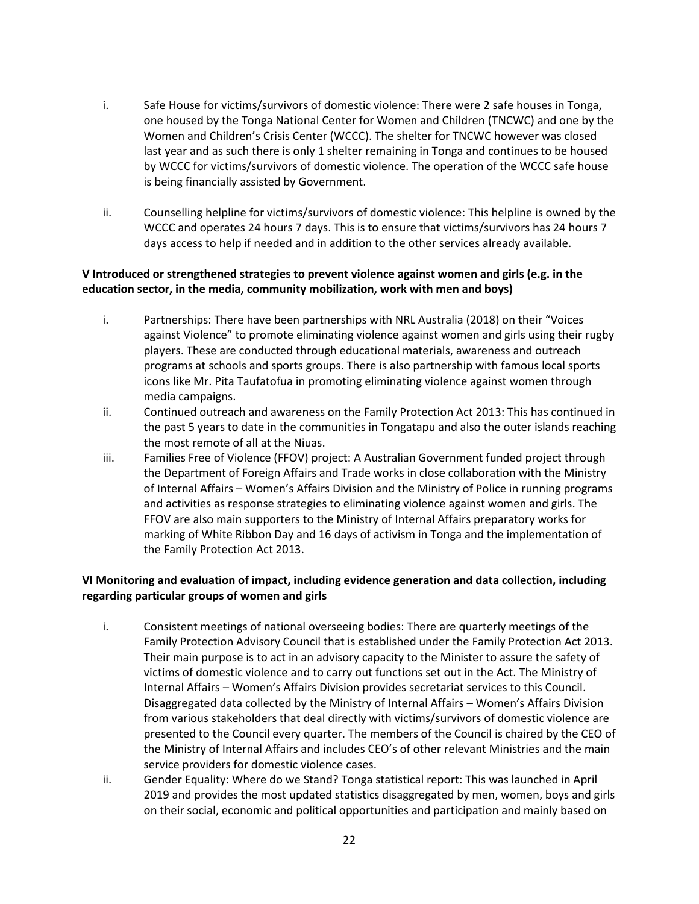- i. Safe House for victims/survivors of domestic violence: There were 2 safe houses in Tonga, one housed by the Tonga National Center for Women and Children (TNCWC) and one by the Women and Children's Crisis Center (WCCC). The shelter for TNCWC however was closed last year and as such there is only 1 shelter remaining in Tonga and continues to be housed by WCCC for victims/survivors of domestic violence. The operation of the WCCC safe house is being financially assisted by Government.
- ii. Counselling helpline for victims/survivors of domestic violence: This helpline is owned by the WCCC and operates 24 hours 7 days. This is to ensure that victims/survivors has 24 hours 7 days access to help if needed and in addition to the other services already available.

### **V Introduced or strengthened strategies to prevent violence against women and girls (e.g. in the education sector, in the media, community mobilization, work with men and boys)**

- i. Partnerships: There have been partnerships with NRL Australia (2018) on their "Voices against Violence" to promote eliminating violence against women and girls using their rugby players. These are conducted through educational materials, awareness and outreach programs at schools and sports groups. There is also partnership with famous local sports icons like Mr. Pita Taufatofua in promoting eliminating violence against women through media campaigns.
- ii. Continued outreach and awareness on the Family Protection Act 2013: This has continued in the past 5 years to date in the communities in Tongatapu and also the outer islands reaching the most remote of all at the Niuas.
- iii. Families Free of Violence (FFOV) project: A Australian Government funded project through the Department of Foreign Affairs and Trade works in close collaboration with the Ministry of Internal Affairs – Women's Affairs Division and the Ministry of Police in running programs and activities as response strategies to eliminating violence against women and girls. The FFOV are also main supporters to the Ministry of Internal Affairs preparatory works for marking of White Ribbon Day and 16 days of activism in Tonga and the implementation of the Family Protection Act 2013.

### **VI Monitoring and evaluation of impact, including evidence generation and data collection, including regarding particular groups of women and girls**

- i. Consistent meetings of national overseeing bodies: There are quarterly meetings of the Family Protection Advisory Council that is established under the Family Protection Act 2013. Their main purpose is to act in an advisory capacity to the Minister to assure the safety of victims of domestic violence and to carry out functions set out in the Act. The Ministry of Internal Affairs – Women's Affairs Division provides secretariat services to this Council. Disaggregated data collected by the Ministry of Internal Affairs – Women's Affairs Division from various stakeholders that deal directly with victims/survivors of domestic violence are presented to the Council every quarter. The members of the Council is chaired by the CEO of the Ministry of Internal Affairs and includes CEO's of other relevant Ministries and the main service providers for domestic violence cases.
- ii. Gender Equality: Where do we Stand? Tonga statistical report: This was launched in April 2019 and provides the most updated statistics disaggregated by men, women, boys and girls on their social, economic and political opportunities and participation and mainly based on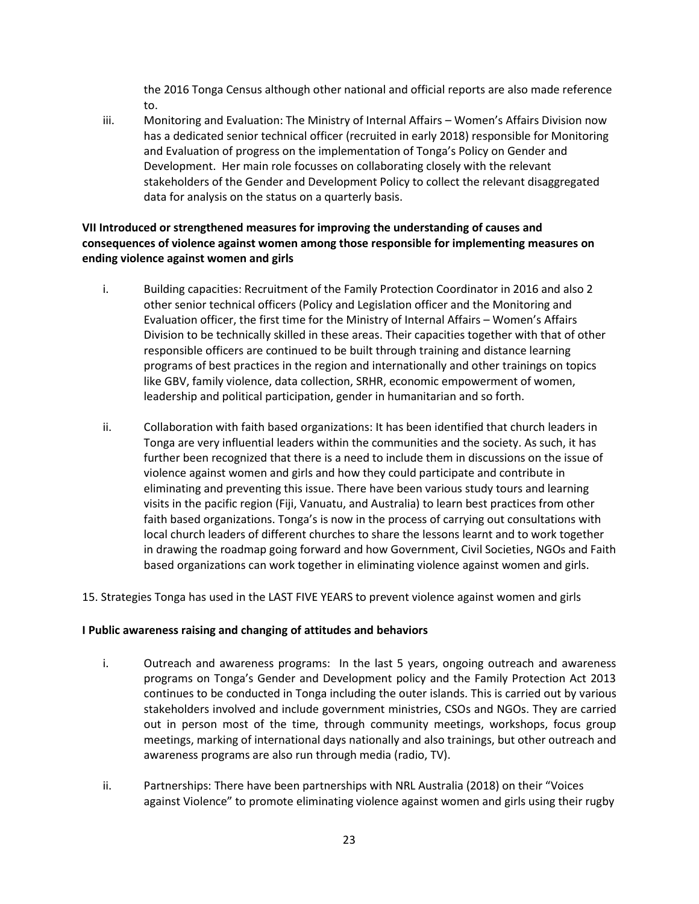the 2016 Tonga Census although other national and official reports are also made reference to.

iii. Monitoring and Evaluation: The Ministry of Internal Affairs – Women's Affairs Division now has a dedicated senior technical officer (recruited in early 2018) responsible for Monitoring and Evaluation of progress on the implementation of Tonga's Policy on Gender and Development. Her main role focusses on collaborating closely with the relevant stakeholders of the Gender and Development Policy to collect the relevant disaggregated data for analysis on the status on a quarterly basis.

### **VII Introduced or strengthened measures for improving the understanding of causes and consequences of violence against women among those responsible for implementing measures on ending violence against women and girls**

- i. Building capacities: Recruitment of the Family Protection Coordinator in 2016 and also 2 other senior technical officers (Policy and Legislation officer and the Monitoring and Evaluation officer, the first time for the Ministry of Internal Affairs – Women's Affairs Division to be technically skilled in these areas. Their capacities together with that of other responsible officers are continued to be built through training and distance learning programs of best practices in the region and internationally and other trainings on topics like GBV, family violence, data collection, SRHR, economic empowerment of women, leadership and political participation, gender in humanitarian and so forth.
- ii. Collaboration with faith based organizations: It has been identified that church leaders in Tonga are very influential leaders within the communities and the society. As such, it has further been recognized that there is a need to include them in discussions on the issue of violence against women and girls and how they could participate and contribute in eliminating and preventing this issue. There have been various study tours and learning visits in the pacific region (Fiji, Vanuatu, and Australia) to learn best practices from other faith based organizations. Tonga's is now in the process of carrying out consultations with local church leaders of different churches to share the lessons learnt and to work together in drawing the roadmap going forward and how Government, Civil Societies, NGOs and Faith based organizations can work together in eliminating violence against women and girls.
- 15. Strategies Tonga has used in the LAST FIVE YEARS to prevent violence against women and girls

#### **I Public awareness raising and changing of attitudes and behaviors**

- i. Outreach and awareness programs: In the last 5 years, ongoing outreach and awareness programs on Tonga's Gender and Development policy and the Family Protection Act 2013 continues to be conducted in Tonga including the outer islands. This is carried out by various stakeholders involved and include government ministries, CSOs and NGOs. They are carried out in person most of the time, through community meetings, workshops, focus group meetings, marking of international days nationally and also trainings, but other outreach and awareness programs are also run through media (radio, TV).
- ii. Partnerships: There have been partnerships with NRL Australia (2018) on their "Voices against Violence" to promote eliminating violence against women and girls using their rugby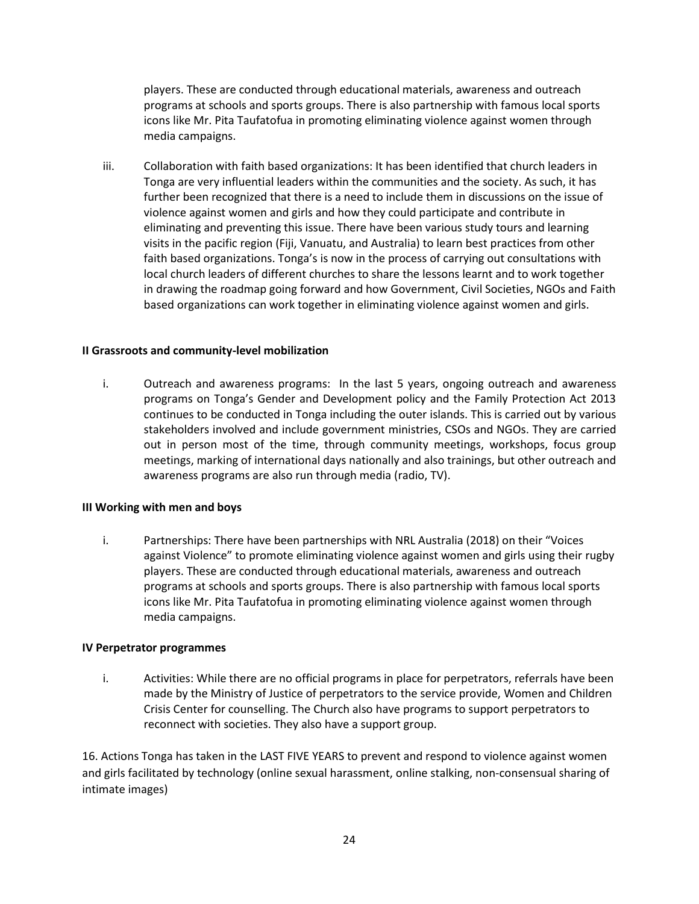players. These are conducted through educational materials, awareness and outreach programs at schools and sports groups. There is also partnership with famous local sports icons like Mr. Pita Taufatofua in promoting eliminating violence against women through media campaigns.

iii. Collaboration with faith based organizations: It has been identified that church leaders in Tonga are very influential leaders within the communities and the society. As such, it has further been recognized that there is a need to include them in discussions on the issue of violence against women and girls and how they could participate and contribute in eliminating and preventing this issue. There have been various study tours and learning visits in the pacific region (Fiji, Vanuatu, and Australia) to learn best practices from other faith based organizations. Tonga's is now in the process of carrying out consultations with local church leaders of different churches to share the lessons learnt and to work together in drawing the roadmap going forward and how Government, Civil Societies, NGOs and Faith based organizations can work together in eliminating violence against women and girls.

#### **II Grassroots and community-level mobilization**

i. Outreach and awareness programs: In the last 5 years, ongoing outreach and awareness programs on Tonga's Gender and Development policy and the Family Protection Act 2013 continues to be conducted in Tonga including the outer islands. This is carried out by various stakeholders involved and include government ministries, CSOs and NGOs. They are carried out in person most of the time, through community meetings, workshops, focus group meetings, marking of international days nationally and also trainings, but other outreach and awareness programs are also run through media (radio, TV).

#### **III Working with men and boys**

i. Partnerships: There have been partnerships with NRL Australia (2018) on their "Voices against Violence" to promote eliminating violence against women and girls using their rugby players. These are conducted through educational materials, awareness and outreach programs at schools and sports groups. There is also partnership with famous local sports icons like Mr. Pita Taufatofua in promoting eliminating violence against women through media campaigns.

#### **IV Perpetrator programmes**

i. Activities: While there are no official programs in place for perpetrators, referrals have been made by the Ministry of Justice of perpetrators to the service provide, Women and Children Crisis Center for counselling. The Church also have programs to support perpetrators to reconnect with societies. They also have a support group.

16. Actions Tonga has taken in the LAST FIVE YEARS to prevent and respond to violence against women and girls facilitated by technology (online sexual harassment, online stalking, non-consensual sharing of intimate images)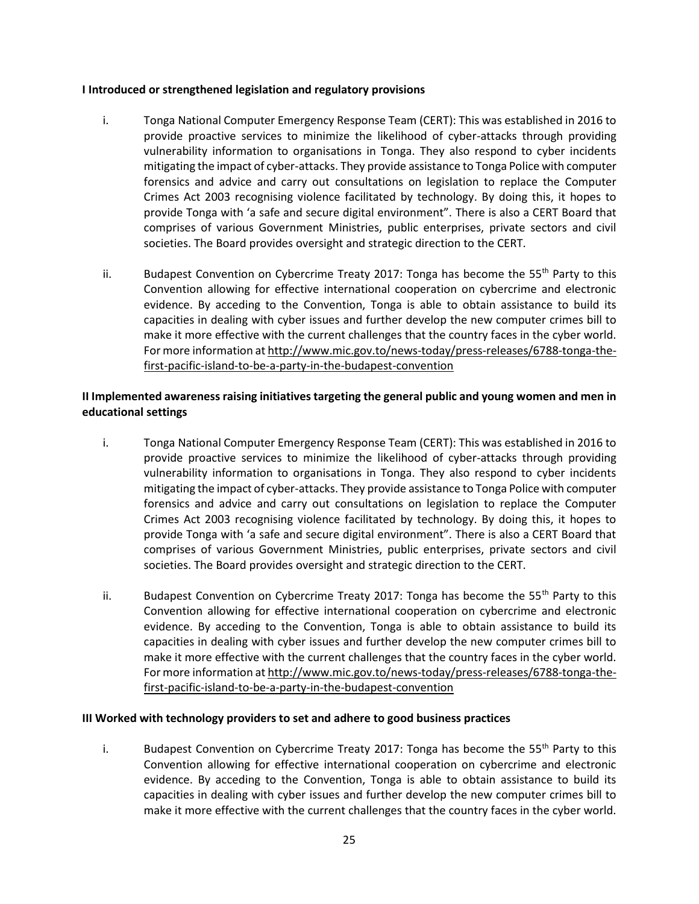#### **I Introduced or strengthened legislation and regulatory provisions**

- i. Tonga National Computer Emergency Response Team (CERT): This was established in 2016 to provide proactive services to minimize the likelihood of cyber-attacks through providing vulnerability information to organisations in Tonga. They also respond to cyber incidents mitigating the impact of cyber-attacks. They provide assistance to Tonga Police with computer forensics and advice and carry out consultations on legislation to replace the Computer Crimes Act 2003 recognising violence facilitated by technology. By doing this, it hopes to provide Tonga with 'a safe and secure digital environment". There is also a CERT Board that comprises of various Government Ministries, public enterprises, private sectors and civil societies. The Board provides oversight and strategic direction to the CERT.
- ii. Budapest Convention on Cybercrime Treaty 2017: Tonga has become the 55<sup>th</sup> Party to this Convention allowing for effective international cooperation on cybercrime and electronic evidence. By acceding to the Convention, Tonga is able to obtain assistance to build its capacities in dealing with cyber issues and further develop the new computer crimes bill to make it more effective with the current challenges that the country faces in the cyber world. For more information a[t http://www.mic.gov.to/news-today/press-releases/6788-tonga-the](http://www.mic.gov.to/news-today/press-releases/6788-tonga-the-first-pacific-island-to-be-a-party-in-the-budapest-convention)[first-pacific-island-to-be-a-party-in-the-budapest-convention](http://www.mic.gov.to/news-today/press-releases/6788-tonga-the-first-pacific-island-to-be-a-party-in-the-budapest-convention)

### **II Implemented awareness raising initiatives targeting the general public and young women and men in educational settings**

- i. Tonga National Computer Emergency Response Team (CERT): This was established in 2016 to provide proactive services to minimize the likelihood of cyber-attacks through providing vulnerability information to organisations in Tonga. They also respond to cyber incidents mitigating the impact of cyber-attacks. They provide assistance to Tonga Police with computer forensics and advice and carry out consultations on legislation to replace the Computer Crimes Act 2003 recognising violence facilitated by technology. By doing this, it hopes to provide Tonga with 'a safe and secure digital environment". There is also a CERT Board that comprises of various Government Ministries, public enterprises, private sectors and civil societies. The Board provides oversight and strategic direction to the CERT.
- ii. Budapest Convention on Cybercrime Treaty 2017: Tonga has become the  $55<sup>th</sup>$  Party to this Convention allowing for effective international cooperation on cybercrime and electronic evidence. By acceding to the Convention, Tonga is able to obtain assistance to build its capacities in dealing with cyber issues and further develop the new computer crimes bill to make it more effective with the current challenges that the country faces in the cyber world. For more information a[t http://www.mic.gov.to/news-today/press-releases/6788-tonga-the](http://www.mic.gov.to/news-today/press-releases/6788-tonga-the-first-pacific-island-to-be-a-party-in-the-budapest-convention)[first-pacific-island-to-be-a-party-in-the-budapest-convention](http://www.mic.gov.to/news-today/press-releases/6788-tonga-the-first-pacific-island-to-be-a-party-in-the-budapest-convention)

#### **III Worked with technology providers to set and adhere to good business practices**

i. Budapest Convention on Cybercrime Treaty 2017: Tonga has become the  $55<sup>th</sup>$  Party to this Convention allowing for effective international cooperation on cybercrime and electronic evidence. By acceding to the Convention, Tonga is able to obtain assistance to build its capacities in dealing with cyber issues and further develop the new computer crimes bill to make it more effective with the current challenges that the country faces in the cyber world.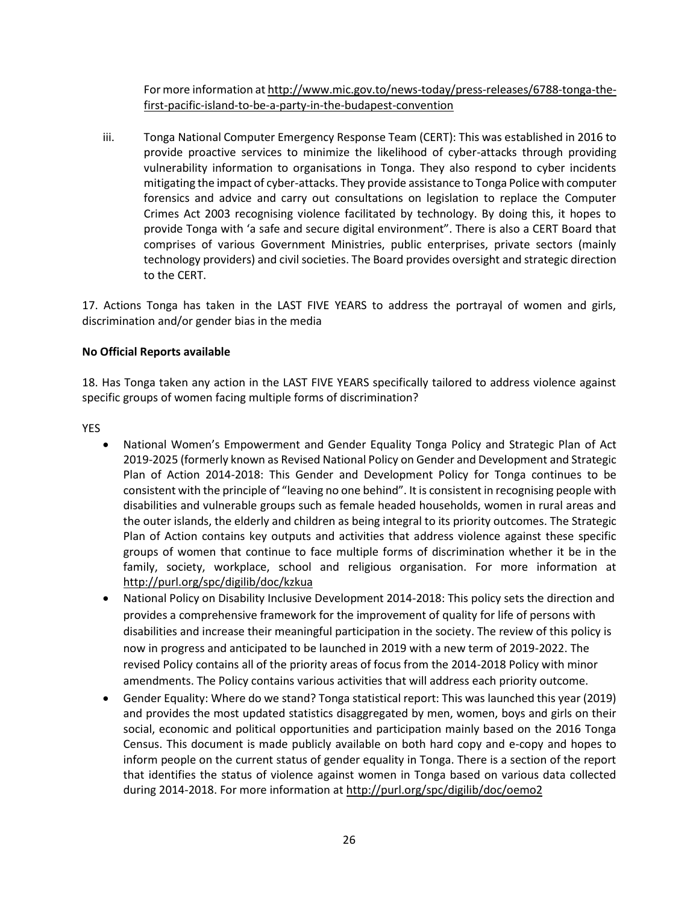For more information a[t http://www.mic.gov.to/news-today/press-releases/6788-tonga-the](http://www.mic.gov.to/news-today/press-releases/6788-tonga-the-first-pacific-island-to-be-a-party-in-the-budapest-convention)[first-pacific-island-to-be-a-party-in-the-budapest-convention](http://www.mic.gov.to/news-today/press-releases/6788-tonga-the-first-pacific-island-to-be-a-party-in-the-budapest-convention)

iii. Tonga National Computer Emergency Response Team (CERT): This was established in 2016 to provide proactive services to minimize the likelihood of cyber-attacks through providing vulnerability information to organisations in Tonga. They also respond to cyber incidents mitigating the impact of cyber-attacks. They provide assistance to Tonga Police with computer forensics and advice and carry out consultations on legislation to replace the Computer Crimes Act 2003 recognising violence facilitated by technology. By doing this, it hopes to provide Tonga with 'a safe and secure digital environment". There is also a CERT Board that comprises of various Government Ministries, public enterprises, private sectors (mainly technology providers) and civil societies. The Board provides oversight and strategic direction to the CERT.

17. Actions Tonga has taken in the LAST FIVE YEARS to address the portrayal of women and girls, discrimination and/or gender bias in the media

### **No Official Reports available**

18. Has Tonga taken any action in the LAST FIVE YEARS specifically tailored to address violence against specific groups of women facing multiple forms of discrimination?

YES

- National Women's Empowerment and Gender Equality Tonga Policy and Strategic Plan of Act 2019-2025 (formerly known as Revised National Policy on Gender and Development and Strategic Plan of Action 2014-2018: This Gender and Development Policy for Tonga continues to be consistent with the principle of "leaving no one behind". It is consistent in recognising people with disabilities and vulnerable groups such as female headed households, women in rural areas and the outer islands, the elderly and children as being integral to its priority outcomes. The Strategic Plan of Action contains key outputs and activities that address violence against these specific groups of women that continue to face multiple forms of discrimination whether it be in the family, society, workplace, school and religious organisation. For more information at <http://purl.org/spc/digilib/doc/kzkua>
- National Policy on Disability Inclusive Development 2014-2018: This policy sets the direction and provides a comprehensive framework for the improvement of quality for life of persons with disabilities and increase their meaningful participation in the society. The review of this policy is now in progress and anticipated to be launched in 2019 with a new term of 2019-2022. The revised Policy contains all of the priority areas of focus from the 2014-2018 Policy with minor amendments. The Policy contains various activities that will address each priority outcome.
- Gender Equality: Where do we stand? Tonga statistical report: This was launched this year (2019) and provides the most updated statistics disaggregated by men, women, boys and girls on their social, economic and political opportunities and participation mainly based on the 2016 Tonga Census. This document is made publicly available on both hard copy and e-copy and hopes to inform people on the current status of gender equality in Tonga. There is a section of the report that identifies the status of violence against women in Tonga based on various data collected during 2014-2018. For more information at<http://purl.org/spc/digilib/doc/oemo2>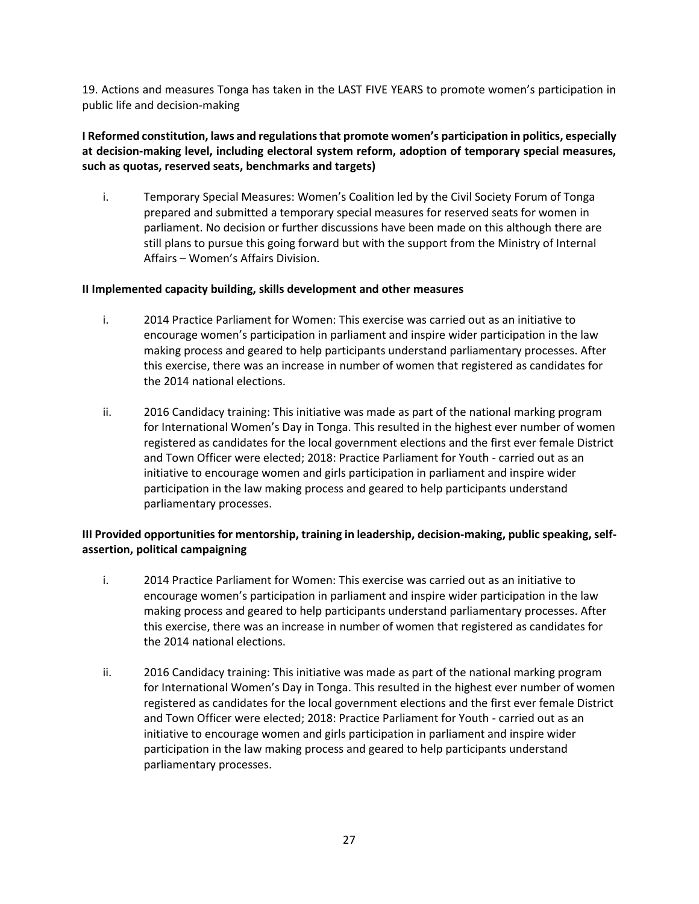19. Actions and measures Tonga has taken in the LAST FIVE YEARS to promote women's participation in public life and decision-making

### **I Reformed constitution, laws and regulations that promote women's participation in politics, especially at decision-making level, including electoral system reform, adoption of temporary special measures, such as quotas, reserved seats, benchmarks and targets)**

i. Temporary Special Measures: Women's Coalition led by the Civil Society Forum of Tonga prepared and submitted a temporary special measures for reserved seats for women in parliament. No decision or further discussions have been made on this although there are still plans to pursue this going forward but with the support from the Ministry of Internal Affairs – Women's Affairs Division.

#### **II Implemented capacity building, skills development and other measures**

- i. 2014 Practice Parliament for Women: This exercise was carried out as an initiative to encourage women's participation in parliament and inspire wider participation in the law making process and geared to help participants understand parliamentary processes. After this exercise, there was an increase in number of women that registered as candidates for the 2014 national elections.
- ii. 2016 Candidacy training: This initiative was made as part of the national marking program for International Women's Day in Tonga. This resulted in the highest ever number of women registered as candidates for the local government elections and the first ever female District and Town Officer were elected; 2018: Practice Parliament for Youth - carried out as an initiative to encourage women and girls participation in parliament and inspire wider participation in the law making process and geared to help participants understand parliamentary processes.

### **III Provided opportunities for mentorship, training in leadership, decision-making, public speaking, selfassertion, political campaigning**

- i. 2014 Practice Parliament for Women: This exercise was carried out as an initiative to encourage women's participation in parliament and inspire wider participation in the law making process and geared to help participants understand parliamentary processes. After this exercise, there was an increase in number of women that registered as candidates for the 2014 national elections.
- ii. 2016 Candidacy training: This initiative was made as part of the national marking program for International Women's Day in Tonga. This resulted in the highest ever number of women registered as candidates for the local government elections and the first ever female District and Town Officer were elected; 2018: Practice Parliament for Youth - carried out as an initiative to encourage women and girls participation in parliament and inspire wider participation in the law making process and geared to help participants understand parliamentary processes.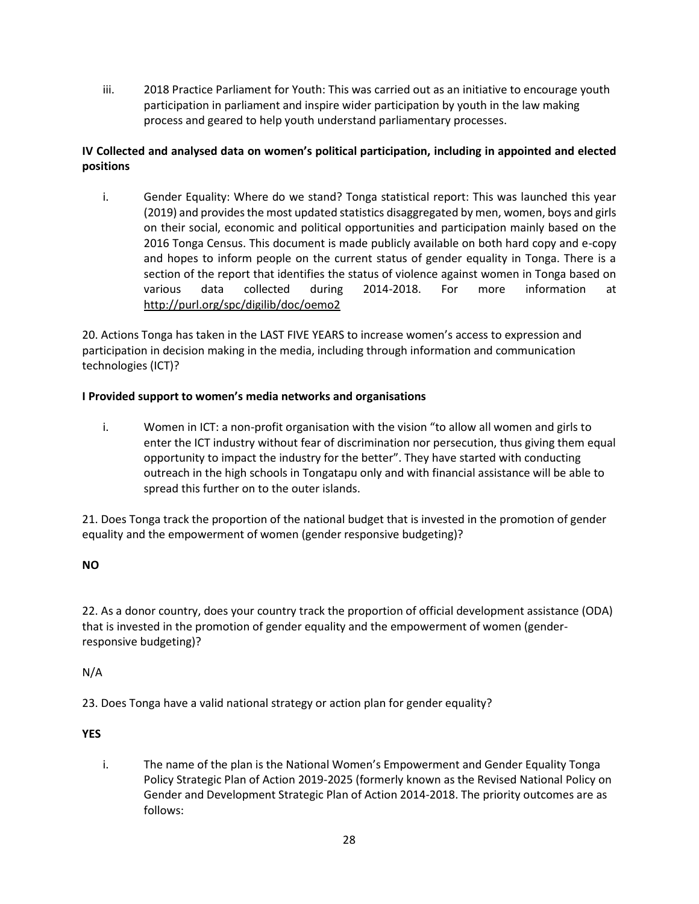iii. 2018 Practice Parliament for Youth: This was carried out as an initiative to encourage youth participation in parliament and inspire wider participation by youth in the law making process and geared to help youth understand parliamentary processes.

# **IV Collected and analysed data on women's political participation, including in appointed and elected positions**

i. Gender Equality: Where do we stand? Tonga statistical report: This was launched this year (2019) and provides the most updated statistics disaggregated by men, women, boys and girls on their social, economic and political opportunities and participation mainly based on the 2016 Tonga Census. This document is made publicly available on both hard copy and e-copy and hopes to inform people on the current status of gender equality in Tonga. There is a section of the report that identifies the status of violence against women in Tonga based on various data collected during 2014-2018. For more information at <http://purl.org/spc/digilib/doc/oemo2>

20. Actions Tonga has taken in the LAST FIVE YEARS to increase women's access to expression and participation in decision making in the media, including through information and communication technologies (ICT)?

### **I Provided support to women's media networks and organisations**

i. Women in ICT: a non-profit organisation with the vision "to allow all women and girls to enter the ICT industry without fear of discrimination nor persecution, thus giving them equal opportunity to impact the industry for the better". They have started with conducting outreach in the high schools in Tongatapu only and with financial assistance will be able to spread this further on to the outer islands.

21. Does Tonga track the proportion of the national budget that is invested in the promotion of gender equality and the empowerment of women (gender responsive budgeting)?

### **NO**

22. As a donor country, does your country track the proportion of official development assistance (ODA) that is invested in the promotion of gender equality and the empowerment of women (genderresponsive budgeting)?

#### N/A

23. Does Tonga have a valid national strategy or action plan for gender equality?

#### **YES**

i. The name of the plan is the National Women's Empowerment and Gender Equality Tonga Policy Strategic Plan of Action 2019-2025 (formerly known as the Revised National Policy on Gender and Development Strategic Plan of Action 2014-2018. The priority outcomes are as follows: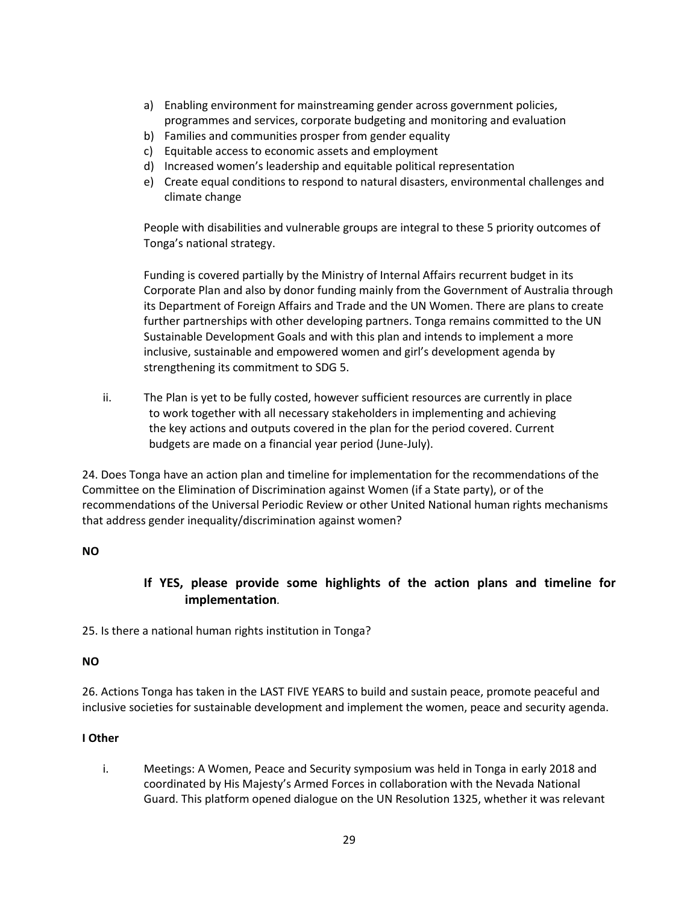- a) Enabling environment for mainstreaming gender across government policies, programmes and services, corporate budgeting and monitoring and evaluation
- b) Families and communities prosper from gender equality
- c) Equitable access to economic assets and employment
- d) Increased women's leadership and equitable political representation
- e) Create equal conditions to respond to natural disasters, environmental challenges and climate change

People with disabilities and vulnerable groups are integral to these 5 priority outcomes of Tonga's national strategy.

Funding is covered partially by the Ministry of Internal Affairs recurrent budget in its Corporate Plan and also by donor funding mainly from the Government of Australia through its Department of Foreign Affairs and Trade and the UN Women. There are plans to create further partnerships with other developing partners. Tonga remains committed to the UN Sustainable Development Goals and with this plan and intends to implement a more inclusive, sustainable and empowered women and girl's development agenda by strengthening its commitment to SDG 5.

ii. The Plan is yet to be fully costed, however sufficient resources are currently in place to work together with all necessary stakeholders in implementing and achieving the key actions and outputs covered in the plan for the period covered. Current budgets are made on a financial year period (June-July).

24. Does Tonga have an action plan and timeline for implementation for the recommendations of the Committee on the Elimination of Discrimination against Women (if a State party), or of the recommendations of the Universal Periodic Review or other United National human rights mechanisms that address gender inequality/discrimination against women?

### **NO**

# **If YES, please provide some highlights of the action plans and timeline for implementation***.*

25. Is there a national human rights institution in Tonga?

#### **NO**

26. Actions Tonga has taken in the LAST FIVE YEARS to build and sustain peace, promote peaceful and inclusive societies for sustainable development and implement the women, peace and security agenda.

### **I Other**

i. Meetings: A Women, Peace and Security symposium was held in Tonga in early 2018 and coordinated by His Majesty's Armed Forces in collaboration with the Nevada National Guard. This platform opened dialogue on the UN Resolution 1325, whether it was relevant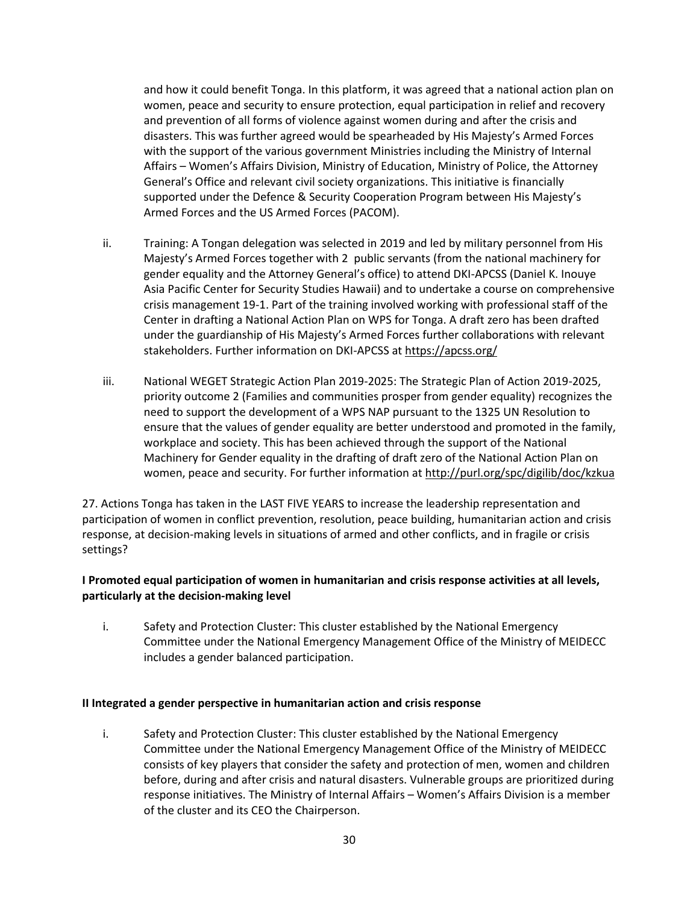and how it could benefit Tonga. In this platform, it was agreed that a national action plan on women, peace and security to ensure protection, equal participation in relief and recovery and prevention of all forms of violence against women during and after the crisis and disasters. This was further agreed would be spearheaded by His Majesty's Armed Forces with the support of the various government Ministries including the Ministry of Internal Affairs – Women's Affairs Division, Ministry of Education, Ministry of Police, the Attorney General's Office and relevant civil society organizations. This initiative is financially supported under the Defence & Security Cooperation Program between His Majesty's Armed Forces and the US Armed Forces (PACOM).

- ii. Training: A Tongan delegation was selected in 2019 and led by military personnel from His Majesty's Armed Forces together with 2 public servants (from the national machinery for gender equality and the Attorney General's office) to attend DKI-APCSS (Daniel K. Inouye Asia Pacific Center for Security Studies Hawaii) and to undertake a course on comprehensive crisis management 19-1. Part of the training involved working with professional staff of the Center in drafting a National Action Plan on WPS for Tonga. A draft zero has been drafted under the guardianship of His Majesty's Armed Forces further collaborations with relevant stakeholders. Further information on DKI-APCSS a[t https://apcss.org/](https://apcss.org/)
- iii. National WEGET Strategic Action Plan 2019-2025: The Strategic Plan of Action 2019-2025, priority outcome 2 (Families and communities prosper from gender equality) recognizes the need to support the development of a WPS NAP pursuant to the 1325 UN Resolution to ensure that the values of gender equality are better understood and promoted in the family, workplace and society. This has been achieved through the support of the National Machinery for Gender equality in the drafting of draft zero of the National Action Plan on women, peace and security. For further information a[t http://purl.org/spc/digilib/doc/kzkua](http://purl.org/spc/digilib/doc/kzkua)

27. Actions Tonga has taken in the LAST FIVE YEARS to increase the leadership representation and participation of women in conflict prevention, resolution, peace building, humanitarian action and crisis response, at decision-making levels in situations of armed and other conflicts, and in fragile or crisis settings?

### **I Promoted equal participation of women in humanitarian and crisis response activities at all levels, particularly at the decision-making level**

i. Safety and Protection Cluster: This cluster established by the National Emergency Committee under the National Emergency Management Office of the Ministry of MEIDECC includes a gender balanced participation.

#### **II Integrated a gender perspective in humanitarian action and crisis response**

i. Safety and Protection Cluster: This cluster established by the National Emergency Committee under the National Emergency Management Office of the Ministry of MEIDECC consists of key players that consider the safety and protection of men, women and children before, during and after crisis and natural disasters. Vulnerable groups are prioritized during response initiatives. The Ministry of Internal Affairs – Women's Affairs Division is a member of the cluster and its CEO the Chairperson.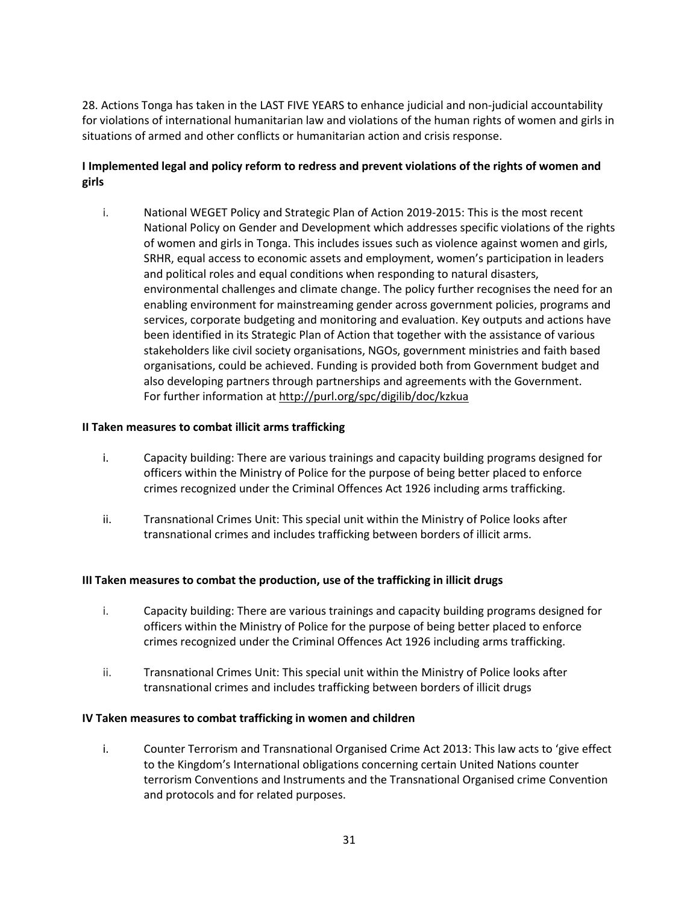28. Actions Tonga has taken in the LAST FIVE YEARS to enhance judicial and non-judicial accountability for violations of international humanitarian law and violations of the human rights of women and girls in situations of armed and other conflicts or humanitarian action and crisis response.

# **I Implemented legal and policy reform to redress and prevent violations of the rights of women and girls**

i. National WEGET Policy and Strategic Plan of Action 2019-2015: This is the most recent National Policy on Gender and Development which addresses specific violations of the rights of women and girls in Tonga. This includes issues such as violence against women and girls, SRHR, equal access to economic assets and employment, women's participation in leaders and political roles and equal conditions when responding to natural disasters, environmental challenges and climate change. The policy further recognises the need for an enabling environment for mainstreaming gender across government policies, programs and services, corporate budgeting and monitoring and evaluation. Key outputs and actions have been identified in its Strategic Plan of Action that together with the assistance of various stakeholders like civil society organisations, NGOs, government ministries and faith based organisations, could be achieved. Funding is provided both from Government budget and also developing partners through partnerships and agreements with the Government. For further information a[t http://purl.org/spc/digilib/doc/kzkua](http://purl.org/spc/digilib/doc/kzkua)

### **II Taken measures to combat illicit arms trafficking**

- i. Capacity building: There are various trainings and capacity building programs designed for officers within the Ministry of Police for the purpose of being better placed to enforce crimes recognized under the Criminal Offences Act 1926 including arms trafficking.
- ii. Transnational Crimes Unit: This special unit within the Ministry of Police looks after transnational crimes and includes trafficking between borders of illicit arms.

#### **III Taken measures to combat the production, use of the trafficking in illicit drugs**

- i. Capacity building: There are various trainings and capacity building programs designed for officers within the Ministry of Police for the purpose of being better placed to enforce crimes recognized under the Criminal Offences Act 1926 including arms trafficking.
- ii. Transnational Crimes Unit: This special unit within the Ministry of Police looks after transnational crimes and includes trafficking between borders of illicit drugs

#### **IV Taken measures to combat trafficking in women and children**

i. Counter Terrorism and Transnational Organised Crime Act 2013: This law acts to 'give effect to the Kingdom's International obligations concerning certain United Nations counter terrorism Conventions and Instruments and the Transnational Organised crime Convention and protocols and for related purposes.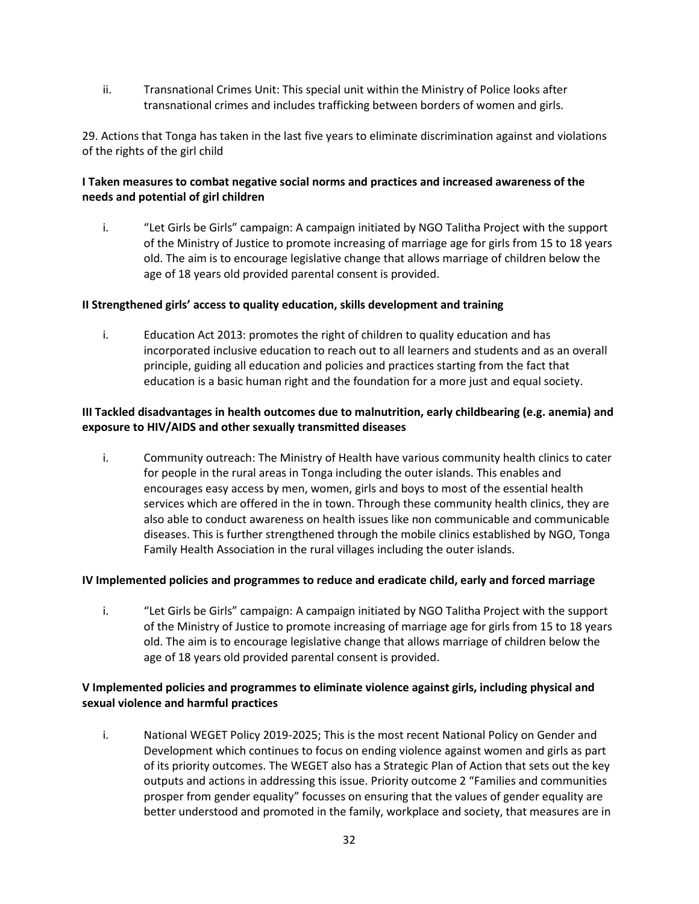ii. Transnational Crimes Unit: This special unit within the Ministry of Police looks after transnational crimes and includes trafficking between borders of women and girls.

29. Actions that Tonga has taken in the last five years to eliminate discrimination against and violations of the rights of the girl child

### **I Taken measures to combat negative social norms and practices and increased awareness of the needs and potential of girl children**

i. "Let Girls be Girls" campaign: A campaign initiated by NGO Talitha Project with the support of the Ministry of Justice to promote increasing of marriage age for girls from 15 to 18 years old. The aim is to encourage legislative change that allows marriage of children below the age of 18 years old provided parental consent is provided.

### **II Strengthened girls' access to quality education, skills development and training**

i. Education Act 2013: promotes the right of children to quality education and has incorporated inclusive education to reach out to all learners and students and as an overall principle, guiding all education and policies and practices starting from the fact that education is a basic human right and the foundation for a more just and equal society.

### **III Tackled disadvantages in health outcomes due to malnutrition, early childbearing (e.g. anemia) and exposure to HIV/AIDS and other sexually transmitted diseases**

i. Community outreach: The Ministry of Health have various community health clinics to cater for people in the rural areas in Tonga including the outer islands. This enables and encourages easy access by men, women, girls and boys to most of the essential health services which are offered in the in town. Through these community health clinics, they are also able to conduct awareness on health issues like non communicable and communicable diseases. This is further strengthened through the mobile clinics established by NGO, Tonga Family Health Association in the rural villages including the outer islands.

#### **IV Implemented policies and programmes to reduce and eradicate child, early and forced marriage**

i. "Let Girls be Girls" campaign: A campaign initiated by NGO Talitha Project with the support of the Ministry of Justice to promote increasing of marriage age for girls from 15 to 18 years old. The aim is to encourage legislative change that allows marriage of children below the age of 18 years old provided parental consent is provided.

### **V Implemented policies and programmes to eliminate violence against girls, including physical and sexual violence and harmful practices**

i. National WEGET Policy 2019-2025; This is the most recent National Policy on Gender and Development which continues to focus on ending violence against women and girls as part of its priority outcomes. The WEGET also has a Strategic Plan of Action that sets out the key outputs and actions in addressing this issue. Priority outcome 2 "Families and communities prosper from gender equality" focusses on ensuring that the values of gender equality are better understood and promoted in the family, workplace and society, that measures are in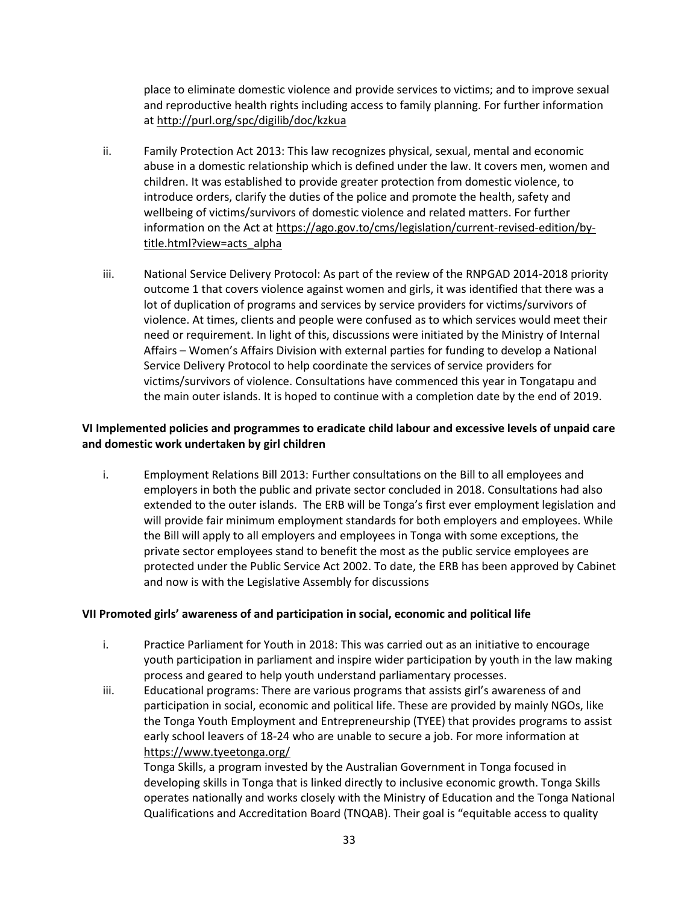place to eliminate domestic violence and provide services to victims; and to improve sexual and reproductive health rights including access to family planning. For further information a[t http://purl.org/spc/digilib/doc/kzkua](http://purl.org/spc/digilib/doc/kzkua)

- ii. Family Protection Act 2013: This law recognizes physical, sexual, mental and economic abuse in a domestic relationship which is defined under the law. It covers men, women and children. It was established to provide greater protection from domestic violence, to introduce orders, clarify the duties of the police and promote the health, safety and wellbeing of victims/survivors of domestic violence and related matters. For further information on the Act at [https://ago.gov.to/cms/legislation/current-revised-edition/by](https://ago.gov.to/cms/legislation/current-revised-edition/by-title.html?view=acts_alpha)[title.html?view=acts\\_alpha](https://ago.gov.to/cms/legislation/current-revised-edition/by-title.html?view=acts_alpha)
- iii. National Service Delivery Protocol: As part of the review of the RNPGAD 2014-2018 priority outcome 1 that covers violence against women and girls, it was identified that there was a lot of duplication of programs and services by service providers for victims/survivors of violence. At times, clients and people were confused as to which services would meet their need or requirement. In light of this, discussions were initiated by the Ministry of Internal Affairs – Women's Affairs Division with external parties for funding to develop a National Service Delivery Protocol to help coordinate the services of service providers for victims/survivors of violence. Consultations have commenced this year in Tongatapu and the main outer islands. It is hoped to continue with a completion date by the end of 2019.

### **VI Implemented policies and programmes to eradicate child labour and excessive levels of unpaid care and domestic work undertaken by girl children**

i. Employment Relations Bill 2013: Further consultations on the Bill to all employees and employers in both the public and private sector concluded in 2018. Consultations had also extended to the outer islands. The ERB will be Tonga's first ever employment legislation and will provide fair minimum employment standards for both employers and employees. While the Bill will apply to all employers and employees in Tonga with some exceptions, the private sector employees stand to benefit the most as the public service employees are protected under the Public Service Act 2002. To date, the ERB has been approved by Cabinet and now is with the Legislative Assembly for discussions

#### **VII Promoted girls' awareness of and participation in social, economic and political life**

- i. Practice Parliament for Youth in 2018: This was carried out as an initiative to encourage youth participation in parliament and inspire wider participation by youth in the law making process and geared to help youth understand parliamentary processes.
- iii. Educational programs: There are various programs that assists girl's awareness of and participation in social, economic and political life. These are provided by mainly NGOs, like the Tonga Youth Employment and Entrepreneurship (TYEE) that provides programs to assist early school leavers of 18-24 who are unable to secure a job. For more information at <https://www.tyeetonga.org/>

Tonga Skills, a program invested by the Australian Government in Tonga focused in developing skills in Tonga that is linked directly to inclusive economic growth. Tonga Skills operates nationally and works closely with the Ministry of Education and the Tonga National Qualifications and Accreditation Board (TNQAB). Their goal is "equitable access to quality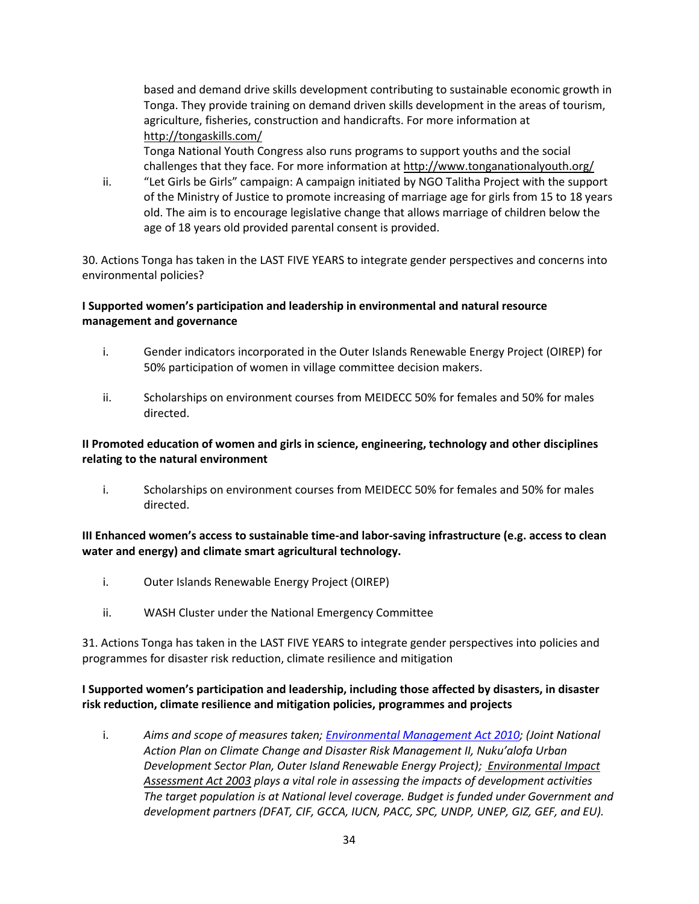based and demand drive skills development contributing to sustainable economic growth in Tonga. They provide training on demand driven skills development in the areas of tourism, agriculture, fisheries, construction and handicrafts. For more information at <http://tongaskills.com/>

Tonga National Youth Congress also runs programs to support youths and the social challenges that they face. For more information a[t http://www.tonganationalyouth.org/](http://www.tonganationalyouth.org/)

ii. "Let Girls be Girls" campaign: A campaign initiated by NGO Talitha Project with the support of the Ministry of Justice to promote increasing of marriage age for girls from 15 to 18 years old. The aim is to encourage legislative change that allows marriage of children below the age of 18 years old provided parental consent is provided.

30. Actions Tonga has taken in the LAST FIVE YEARS to integrate gender perspectives and concerns into environmental policies?

### **I Supported women's participation and leadership in environmental and natural resource management and governance**

- i. Gender indicators incorporated in the Outer Islands Renewable Energy Project (OIREP) for 50% participation of women in village committee decision makers.
- ii. Scholarships on environment courses from MEIDECC 50% for females and 50% for males directed.

### **II Promoted education of women and girls in science, engineering, technology and other disciplines relating to the natural environment**

i. Scholarships on environment courses from MEIDECC 50% for females and 50% for males directed.

### **III Enhanced women's access to sustainable time-and labor-saving infrastructure (e.g. access to clean water and energy) and climate smart agricultural technology.**

- i. Outer Islands Renewable Energy Project (OIREP)
- ii. WASH Cluster under the National Emergency Committee

31. Actions Tonga has taken in the LAST FIVE YEARS to integrate gender perspectives into policies and programmes for disaster risk reduction, climate resilience and mitigation

### **I Supported women's participation and leadership, including those affected by disasters, in disaster risk reduction, climate resilience and mitigation policies, programmes and projects**

i. *Aims and scope of measures taken; [Environmental Management Act 2010;](http://ecc.gov.to/enviornment/ecc.gov.to/docs/environmentact2010.pdf) (Joint National Action Plan on Climate Change and Disaster Risk Management II, Nuku'alofa Urban Development Sector Plan, Outer Island Renewable Energy Project)[; Environmental Impact](http://ecc.gov.to/enviornment/ecc.gov.to/docs/eiaact%202003english.pdf)  [Assessment Act 2003](http://ecc.gov.to/enviornment/ecc.gov.to/docs/eiaact%202003english.pdf) plays a vital role in assessing the impacts of development activities The target population is at National level coverage. Budget is funded under Government and development partners (DFAT, CIF, GCCA, IUCN, PACC, SPC, UNDP, UNEP, GIZ, GEF, and EU).*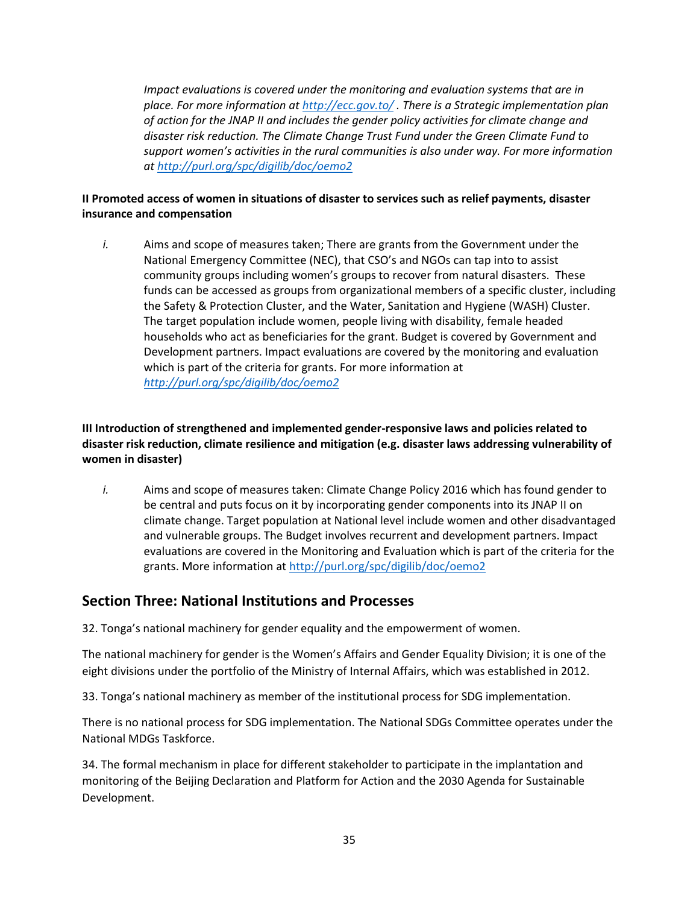*Impact evaluations is covered under the monitoring and evaluation systems that are in place. For more information at <http://ecc.gov.to/> . There is a Strategic implementation plan of action for the JNAP II and includes the gender policy activities for climate change and disaster risk reduction. The Climate Change Trust Fund under the Green Climate Fund to support women's activities in the rural communities is also under way. For more information at <http://purl.org/spc/digilib/doc/oemo2>*

### **II Promoted access of women in situations of disaster to services such as relief payments, disaster insurance and compensation**

*i.* Aims and scope of measures taken; There are grants from the Government under the National Emergency Committee (NEC), that CSO's and NGOs can tap into to assist community groups including women's groups to recover from natural disasters. These funds can be accessed as groups from organizational members of a specific cluster, including the Safety & Protection Cluster, and the Water, Sanitation and Hygiene (WASH) Cluster. The target population include women, people living with disability, female headed households who act as beneficiaries for the grant. Budget is covered by Government and Development partners. Impact evaluations are covered by the monitoring and evaluation which is part of the criteria for grants. For more information at *<http://purl.org/spc/digilib/doc/oemo2>*

# **III Introduction of strengthened and implemented gender-responsive laws and policies related to disaster risk reduction, climate resilience and mitigation (e.g. disaster laws addressing vulnerability of women in disaster)**

*i.* Aims and scope of measures taken: Climate Change Policy 2016 which has found gender to be central and puts focus on it by incorporating gender components into its JNAP II on climate change. Target population at National level include women and other disadvantaged and vulnerable groups. The Budget involves recurrent and development partners. Impact evaluations are covered in the Monitoring and Evaluation which is part of the criteria for the grants. More information at<http://purl.org/spc/digilib/doc/oemo2>

# **Section Three: National Institutions and Processes**

32. Tonga's national machinery for gender equality and the empowerment of women.

The national machinery for gender is the Women's Affairs and Gender Equality Division; it is one of the eight divisions under the portfolio of the Ministry of Internal Affairs, which was established in 2012.

33. Tonga's national machinery as member of the institutional process for SDG implementation.

There is no national process for SDG implementation. The National SDGs Committee operates under the National MDGs Taskforce.

34. The formal mechanism in place for different stakeholder to participate in the implantation and monitoring of the Beijing Declaration and Platform for Action and the 2030 Agenda for Sustainable Development.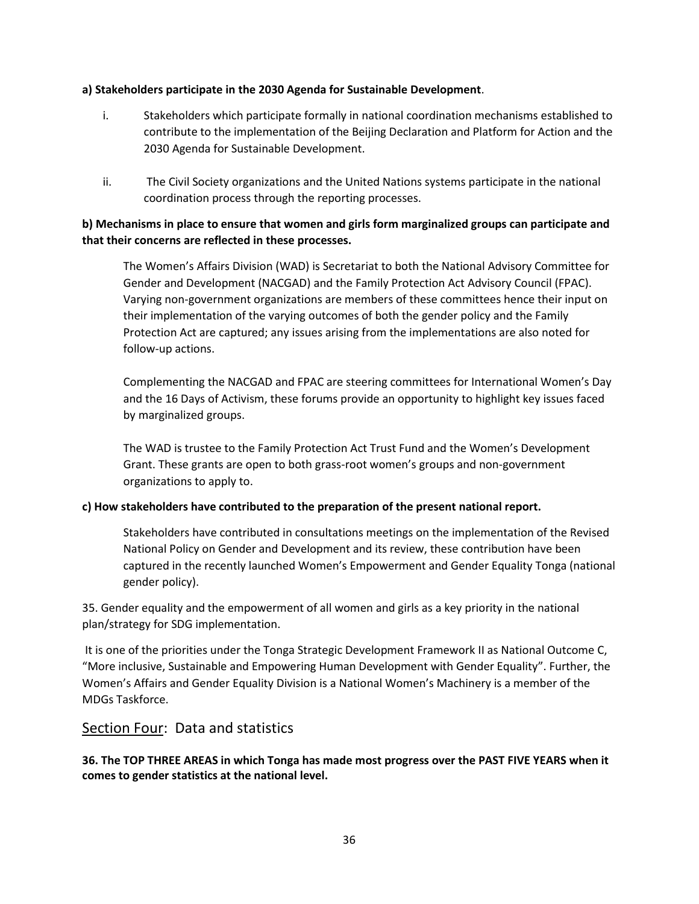#### **a) Stakeholders participate in the 2030 Agenda for Sustainable Development**.

- i. Stakeholders which participate formally in national coordination mechanisms established to contribute to the implementation of the Beijing Declaration and Platform for Action and the 2030 Agenda for Sustainable Development.
- ii. The Civil Society organizations and the United Nations systems participate in the national coordination process through the reporting processes.

## **b) Mechanisms in place to ensure that women and girls form marginalized groups can participate and that their concerns are reflected in these processes.**

The Women's Affairs Division (WAD) is Secretariat to both the National Advisory Committee for Gender and Development (NACGAD) and the Family Protection Act Advisory Council (FPAC). Varying non-government organizations are members of these committees hence their input on their implementation of the varying outcomes of both the gender policy and the Family Protection Act are captured; any issues arising from the implementations are also noted for follow-up actions.

Complementing the NACGAD and FPAC are steering committees for International Women's Day and the 16 Days of Activism, these forums provide an opportunity to highlight key issues faced by marginalized groups.

The WAD is trustee to the Family Protection Act Trust Fund and the Women's Development Grant. These grants are open to both grass-root women's groups and non-government organizations to apply to.

### **c) How stakeholders have contributed to the preparation of the present national report.**

Stakeholders have contributed in consultations meetings on the implementation of the Revised National Policy on Gender and Development and its review, these contribution have been captured in the recently launched Women's Empowerment and Gender Equality Tonga (national gender policy).

35. Gender equality and the empowerment of all women and girls as a key priority in the national plan/strategy for SDG implementation.

It is one of the priorities under the Tonga Strategic Development Framework II as National Outcome C, "More inclusive, Sustainable and Empowering Human Development with Gender Equality". Further, the Women's Affairs and Gender Equality Division is a National Women's Machinery is a member of the MDGs Taskforce.

# Section Four: Data and statistics

**36. The TOP THREE AREAS in which Tonga has made most progress over the PAST FIVE YEARS when it comes to gender statistics at the national level.**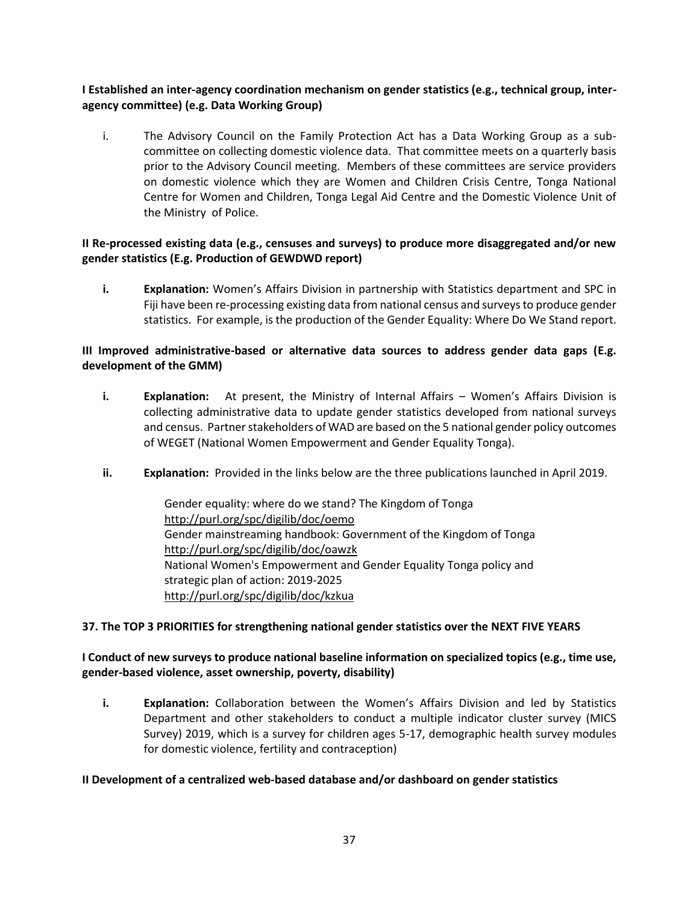**I Established an inter-agency coordination mechanism on gender statistics (e.g., technical group, interagency committee) (e.g. Data Working Group)**

i. The Advisory Council on the Family Protection Act has a Data Working Group as a subcommittee on collecting domestic violence data. That committee meets on a quarterly basis prior to the Advisory Council meeting. Members of these committees are service providers on domestic violence which they are Women and Children Crisis Centre, Tonga National Centre for Women and Children, Tonga Legal Aid Centre and the Domestic Violence Unit of the Ministry of Police.

### **II Re-processed existing data (e.g., censuses and surveys) to produce more disaggregated and/or new gender statistics (E.g. Production of GEWDWD report)**

**i. Explanation:** Women's Affairs Division in partnership with Statistics department and SPC in Fiji have been re-processing existing data from national census and surveys to produce gender statistics. For example, is the production of the Gender Equality: Where Do We Stand report.

### **III Improved administrative-based or alternative data sources to address gender data gaps (E.g. development of the GMM)**

- **i. Explanation:** At present, the Ministry of Internal Affairs Women's Affairs Division is collecting administrative data to update gender statistics developed from national surveys and census. Partner stakeholders of WAD are based on the 5 national gender policy outcomes of WEGET (National Women Empowerment and Gender Equality Tonga).
- **ii. Explanation:** Provided in the links below are the three publications launched in April 2019.

Gender equality: where do we stand? The Kingdom of Tonga [http://purl.org/spc/digilib/doc/oemo](http://purl.org/spc/digilib/doc/oemo2) Gender mainstreaming handbook: Government of the Kingdom of Tonga <http://purl.org/spc/digilib/doc/oawzk> National Women's Empowerment and Gender Equality Tonga policy and strategic plan of action: 2019-2025 <http://purl.org/spc/digilib/doc/kzkua>

#### **37. The TOP 3 PRIORITIES for strengthening national gender statistics over the NEXT FIVE YEARS**

### **I Conduct of new surveys to produce national baseline information on specialized topics (e.g., time use, gender-based violence, asset ownership, poverty, disability)**

**i. Explanation:** Collaboration between the Women's Affairs Division and led by Statistics Department and other stakeholders to conduct a multiple indicator cluster survey (MICS Survey) 2019, which is a survey for children ages 5-17, demographic health survey modules for domestic violence, fertility and contraception)

#### **II Development of a centralized web-based database and/or dashboard on gender statistics**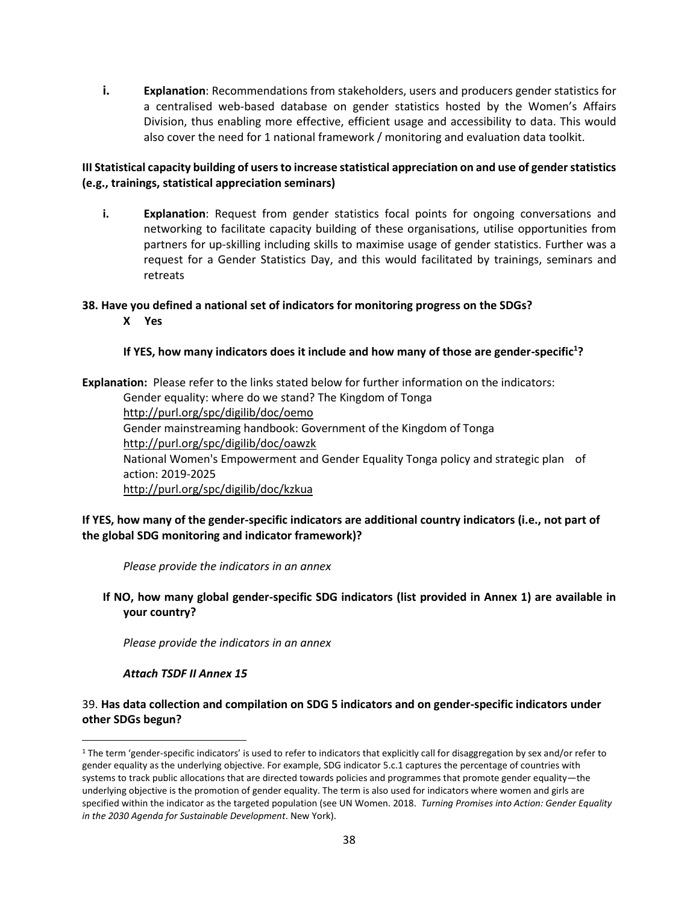**i. Explanation**: Recommendations from stakeholders, users and producers gender statistics for a centralised web-based database on gender statistics hosted by the Women's Affairs Division, thus enabling more effective, efficient usage and accessibility to data. This would also cover the need for 1 national framework / monitoring and evaluation data toolkit.

### **III Statistical capacity building of users to increase statistical appreciation on and use of gender statistics (e.g., trainings, statistical appreciation seminars)**

**i. Explanation**: Request from gender statistics focal points for ongoing conversations and networking to facilitate capacity building of these organisations, utilise opportunities from partners for up-skilling including skills to maximise usage of gender statistics. Further was a request for a Gender Statistics Day, and this would facilitated by trainings, seminars and retreats

#### **38. Have you defined a national set of indicators for monitoring progress on the SDGs?**

**X Yes** 

### **If YES, how many indicators does it include and how many of those are gender-specific<sup>1</sup> ?**

**Explanation:** Please refer to the links stated below for further information on the indicators: Gender equality: where do we stand? The Kingdom of Tonga [http://purl.org/spc/digilib/doc/oemo](http://purl.org/spc/digilib/doc/oemo2) Gender mainstreaming handbook: Government of the Kingdom of Tonga <http://purl.org/spc/digilib/doc/oawzk> National Women's Empowerment and Gender Equality Tonga policy and strategic plan of action: 2019-2025 <http://purl.org/spc/digilib/doc/kzkua>

### **If YES, how many of the gender-specific indicators are additional country indicators (i.e., not part of the global SDG monitoring and indicator framework)?**

*Please provide the indicators in an annex*

**If NO, how many global gender-specific SDG indicators (list provided in Annex 1) are available in your country?** 

*Please provide the indicators in an annex* 

#### *Attach TSDF II Annex 15*

 $\overline{\phantom{a}}$ 

### 39. **Has data collection and compilation on SDG 5 indicators and on gender-specific indicators under other SDGs begun?**

<sup>&</sup>lt;sup>1</sup> The term 'gender-specific indicators' is used to refer to indicators that explicitly call for disaggregation by sex and/or refer to gender equality as the underlying objective. For example, SDG indicator 5.c.1 captures the percentage of countries with systems to track public allocations that are directed towards policies and programmes that promote gender equality—the underlying objective is the promotion of gender equality. The term is also used for indicators where women and girls are specified within the indicator as the targeted population (see UN Women. 2018. *Turning Promises into Action: Gender Equality in the 2030 Agenda for Sustainable Development*. New York).